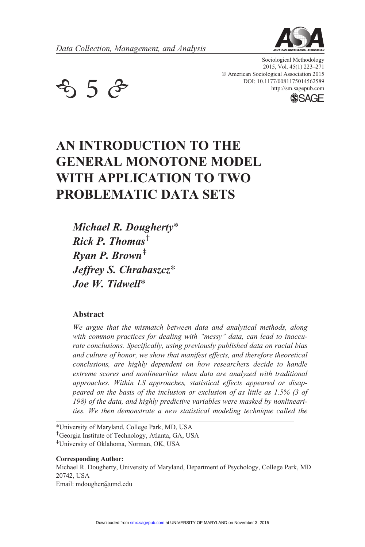

 $\mathcal{L}$  5  $\mathcal{C}$  bol: 10.1177/0081175014562589 http://sm.sagepub.com **SSAGE** 

Sociological Methodology 2015, Vol. 45(1) 223–271 © American Sociological Association 2015 DOI: 10.1177/0081175014562589



# AN INTRODUCTION TO THE GENERAL MONOTONE MODEL WITH APPLICATION TO TWO PROBLEMATIC DATA SETS

Michael R. Dougherty\* Rick P. Thomas<sup>†</sup>  $R$ *van P. Brown*<sup> $\ddag$ </sup> Jeffrey S. Chrabaszcz\* Joe W. Tidwell\*

#### Abstract

We argue that the mismatch between data and analytical methods, along with common practices for dealing with "messy" data, can lead to inaccurate conclusions. Specifically, using previously published data on racial bias and culture of honor, we show that manifest effects, and therefore theoretical conclusions, are highly dependent on how researchers decide to handle extreme scores and nonlinearities when data are analyzed with traditional approaches. Within LS approaches, statistical effects appeared or disappeared on the basis of the inclusion or exclusion of as little as 1.5% (3 of 198) of the data, and highly predictive variables were masked by nonlinearities. We then demonstrate a new statistical modeling technique called the

\*University of Maryland, College Park, MD, USA

<sup>†</sup>Georgia Institute of Technology, Atlanta, GA, USA

z University of Oklahoma, Norman, OK, USA

#### Corresponding Author:

Michael R. Dougherty, University of Maryland, Department of Psychology, College Park, MD 20742, USA Email: mdougher@umd.edu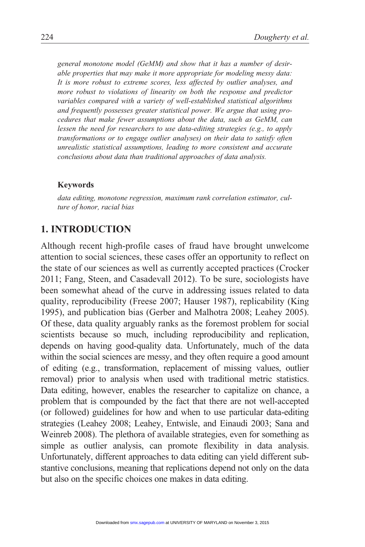general monotone model (GeMM) and show that it has a number of desirable properties that may make it more appropriate for modeling messy data: It is more robust to extreme scores, less affected by outlier analyses, and more robust to violations of linearity on both the response and predictor variables compared with a variety of well-established statistical algorithms and frequently possesses greater statistical power. We argue that using procedures that make fewer assumptions about the data, such as GeMM, can lessen the need for researchers to use data-editing strategies (e.g., to apply transformations or to engage outlier analyses) on their data to satisfy often unrealistic statistical assumptions, leading to more consistent and accurate conclusions about data than traditional approaches of data analysis.

#### Keywords

data editing, monotone regression, maximum rank correlation estimator, culture of honor, racial bias

### 1. INTRODUCTION

Although recent high-profile cases of fraud have brought unwelcome attention to social sciences, these cases offer an opportunity to reflect on the state of our sciences as well as currently accepted practices (Crocker 2011; Fang, Steen, and Casadevall 2012). To be sure, sociologists have been somewhat ahead of the curve in addressing issues related to data quality, reproducibility (Freese 2007; Hauser 1987), replicability (King 1995), and publication bias (Gerber and Malhotra 2008; Leahey 2005). Of these, data quality arguably ranks as the foremost problem for social scientists because so much, including reproducibility and replication, depends on having good-quality data. Unfortunately, much of the data within the social sciences are messy, and they often require a good amount of editing (e.g., transformation, replacement of missing values, outlier removal) prior to analysis when used with traditional metric statistics. Data editing, however, enables the researcher to capitalize on chance, a problem that is compounded by the fact that there are not well-accepted (or followed) guidelines for how and when to use particular data-editing strategies (Leahey 2008; Leahey, Entwisle, and Einaudi 2003; Sana and Weinreb 2008). The plethora of available strategies, even for something as simple as outlier analysis, can promote flexibility in data analysis. Unfortunately, different approaches to data editing can yield different substantive conclusions, meaning that replications depend not only on the data but also on the specific choices one makes in data editing.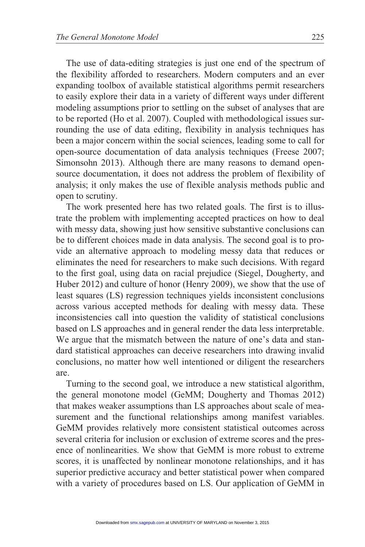The use of data-editing strategies is just one end of the spectrum of the flexibility afforded to researchers. Modern computers and an ever expanding toolbox of available statistical algorithms permit researchers to easily explore their data in a variety of different ways under different modeling assumptions prior to settling on the subset of analyses that are to be reported (Ho et al. 2007). Coupled with methodological issues surrounding the use of data editing, flexibility in analysis techniques has been a major concern within the social sciences, leading some to call for open-source documentation of data analysis techniques (Freese 2007; Simonsohn 2013). Although there are many reasons to demand opensource documentation, it does not address the problem of flexibility of analysis; it only makes the use of flexible analysis methods public and open to scrutiny.

The work presented here has two related goals. The first is to illustrate the problem with implementing accepted practices on how to deal with messy data, showing just how sensitive substantive conclusions can be to different choices made in data analysis. The second goal is to provide an alternative approach to modeling messy data that reduces or eliminates the need for researchers to make such decisions. With regard to the first goal, using data on racial prejudice (Siegel, Dougherty, and Huber 2012) and culture of honor (Henry 2009), we show that the use of least squares (LS) regression techniques yields inconsistent conclusions across various accepted methods for dealing with messy data. These inconsistencies call into question the validity of statistical conclusions based on LS approaches and in general render the data less interpretable. We argue that the mismatch between the nature of one's data and standard statistical approaches can deceive researchers into drawing invalid conclusions, no matter how well intentioned or diligent the researchers are.

Turning to the second goal, we introduce a new statistical algorithm, the general monotone model (GeMM; Dougherty and Thomas 2012) that makes weaker assumptions than LS approaches about scale of measurement and the functional relationships among manifest variables. GeMM provides relatively more consistent statistical outcomes across several criteria for inclusion or exclusion of extreme scores and the presence of nonlinearities. We show that GeMM is more robust to extreme scores, it is unaffected by nonlinear monotone relationships, and it has superior predictive accuracy and better statistical power when compared with a variety of procedures based on LS. Our application of GeMM in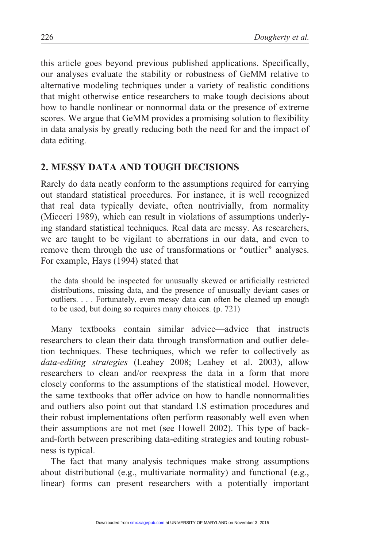this article goes beyond previous published applications. Specifically, our analyses evaluate the stability or robustness of GeMM relative to alternative modeling techniques under a variety of realistic conditions that might otherwise entice researchers to make tough decisions about how to handle nonlinear or nonnormal data or the presence of extreme scores. We argue that GeMM provides a promising solution to flexibility in data analysis by greatly reducing both the need for and the impact of data editing.

# 2. MESSY DATA AND TOUGH DECISIONS

Rarely do data neatly conform to the assumptions required for carrying out standard statistical procedures. For instance, it is well recognized that real data typically deviate, often nontrivially, from normality (Micceri 1989), which can result in violations of assumptions underlying standard statistical techniques. Real data are messy. As researchers, we are taught to be vigilant to aberrations in our data, and even to remove them through the use of transformations or "outlier" analyses. For example, Hays (1994) stated that

the data should be inspected for unusually skewed or artificially restricted distributions, missing data, and the presence of unusually deviant cases or outliers. . . . Fortunately, even messy data can often be cleaned up enough to be used, but doing so requires many choices. (p. 721)

Many textbooks contain similar advice—advice that instructs researchers to clean their data through transformation and outlier deletion techniques. These techniques, which we refer to collectively as data-editing strategies (Leahey 2008; Leahey et al. 2003), allow researchers to clean and/or reexpress the data in a form that more closely conforms to the assumptions of the statistical model. However, the same textbooks that offer advice on how to handle nonnormalities and outliers also point out that standard LS estimation procedures and their robust implementations often perform reasonably well even when their assumptions are not met (see Howell 2002). This type of backand-forth between prescribing data-editing strategies and touting robustness is typical.

The fact that many analysis techniques make strong assumptions about distributional (e.g., multivariate normality) and functional (e.g., linear) forms can present researchers with a potentially important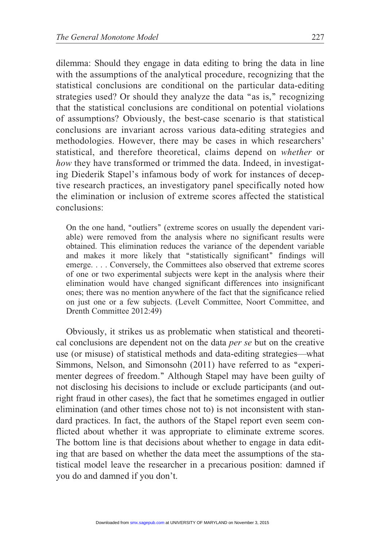dilemma: Should they engage in data editing to bring the data in line with the assumptions of the analytical procedure, recognizing that the statistical conclusions are conditional on the particular data-editing strategies used? Or should they analyze the data "as is," recognizing that the statistical conclusions are conditional on potential violations of assumptions? Obviously, the best-case scenario is that statistical conclusions are invariant across various data-editing strategies and methodologies. However, there may be cases in which researchers' statistical, and therefore theoretical, claims depend on whether or how they have transformed or trimmed the data. Indeed, in investigating Diederik Stapel's infamous body of work for instances of deceptive research practices, an investigatory panel specifically noted how the elimination or inclusion of extreme scores affected the statistical conclusions:

On the one hand, ''outliers'' (extreme scores on usually the dependent variable) were removed from the analysis where no significant results were obtained. This elimination reduces the variance of the dependent variable and makes it more likely that "statistically significant" findings will emerge. . . . Conversely, the Committees also observed that extreme scores of one or two experimental subjects were kept in the analysis where their elimination would have changed significant differences into insignificant ones; there was no mention anywhere of the fact that the significance relied on just one or a few subjects. (Levelt Committee, Noort Committee, and Drenth Committee 2012:49)

Obviously, it strikes us as problematic when statistical and theoretical conclusions are dependent not on the data per se but on the creative use (or misuse) of statistical methods and data-editing strategies—what Simmons, Nelson, and Simonsohn (2011) have referred to as "experimenter degrees of freedom.'' Although Stapel may have been guilty of not disclosing his decisions to include or exclude participants (and outright fraud in other cases), the fact that he sometimes engaged in outlier elimination (and other times chose not to) is not inconsistent with standard practices. In fact, the authors of the Stapel report even seem conflicted about whether it was appropriate to eliminate extreme scores. The bottom line is that decisions about whether to engage in data editing that are based on whether the data meet the assumptions of the statistical model leave the researcher in a precarious position: damned if you do and damned if you don't.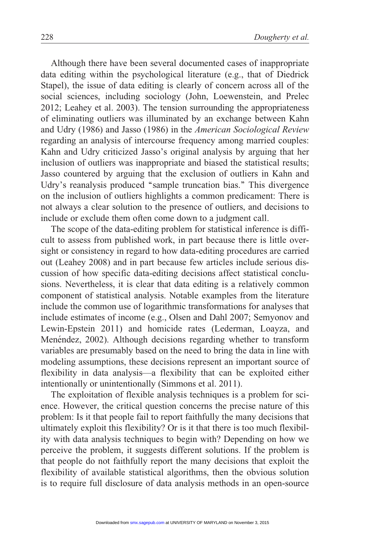Although there have been several documented cases of inappropriate data editing within the psychological literature (e.g., that of Diedrick Stapel), the issue of data editing is clearly of concern across all of the social sciences, including sociology (John, Loewenstein, and Prelec 2012; Leahey et al. 2003). The tension surrounding the appropriateness of eliminating outliers was illuminated by an exchange between Kahn and Udry (1986) and Jasso (1986) in the American Sociological Review regarding an analysis of intercourse frequency among married couples: Kahn and Udry criticized Jasso's original analysis by arguing that her inclusion of outliers was inappropriate and biased the statistical results; Jasso countered by arguing that the exclusion of outliers in Kahn and Udry's reanalysis produced "sample truncation bias." This divergence on the inclusion of outliers highlights a common predicament: There is not always a clear solution to the presence of outliers, and decisions to include or exclude them often come down to a judgment call.

The scope of the data-editing problem for statistical inference is difficult to assess from published work, in part because there is little oversight or consistency in regard to how data-editing procedures are carried out (Leahey 2008) and in part because few articles include serious discussion of how specific data-editing decisions affect statistical conclusions. Nevertheless, it is clear that data editing is a relatively common component of statistical analysis. Notable examples from the literature include the common use of logarithmic transformations for analyses that include estimates of income (e.g., Olsen and Dahl 2007; Semyonov and Lewin-Epstein 2011) and homicide rates (Lederman, Loayza, and Menéndez, 2002). Although decisions regarding whether to transform variables are presumably based on the need to bring the data in line with modeling assumptions, these decisions represent an important source of flexibility in data analysis—a flexibility that can be exploited either intentionally or unintentionally (Simmons et al. 2011).

The exploitation of flexible analysis techniques is a problem for science. However, the critical question concerns the precise nature of this problem: Is it that people fail to report faithfully the many decisions that ultimately exploit this flexibility? Or is it that there is too much flexibility with data analysis techniques to begin with? Depending on how we perceive the problem, it suggests different solutions. If the problem is that people do not faithfully report the many decisions that exploit the flexibility of available statistical algorithms, then the obvious solution is to require full disclosure of data analysis methods in an open-source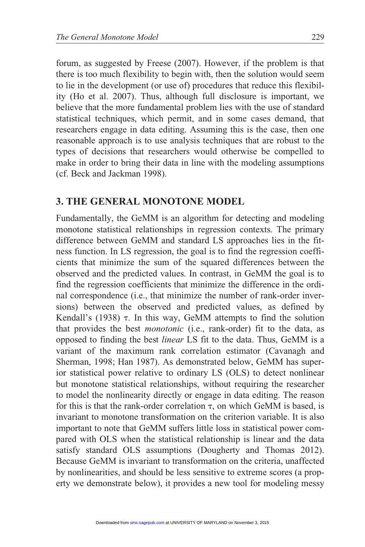forum, as suggested by Freese (2007). However, if the problem is that there is too much flexibility to begin with, then the solution would seem to lie in the development (or use of) procedures that reduce this flexibility (Ho et al. 2007). Thus, although full disclosure is important, we believe that the more fundamental problem lies with the use of standard statistical techniques, which permit, and in some cases demand, that researchers engage in data editing. Assuming this is the case, then one reasonable approach is to use analysis techniques that are robust to the types of decisions that researchers would otherwise be compelled to make in order to bring their data in line with the modeling assumptions (cf. Beck and Jackman 1998).

### 3. THE GENERAL MONOTONE MODEL

Fundamentally, the GeMM is an algorithm for detecting and modeling monotone statistical relationships in regression contexts. The primary difference between GeMM and standard LS approaches lies in the fitness function. In LS regression, the goal is to find the regression coefficients that minimize the sum of the squared differences between the observed and the predicted values. In contrast, in GeMM the goal is to find the regression coefficients that minimize the difference in the ordinal correspondence (i.e., that minimize the number of rank-order inversions) between the observed and predicted values, as defined by Kendall's  $(1938)$   $\tau$ . In this way, GeMM attempts to find the solution that provides the best monotonic (i.e., rank-order) fit to the data, as opposed to finding the best linear LS fit to the data. Thus, GeMM is a variant of the maximum rank correlation estimator (Cavanagh and Sherman, 1998; Han 1987). As demonstrated below, GeMM has superior statistical power relative to ordinary LS (OLS) to detect nonlinear but monotone statistical relationships, without requiring the researcher to model the nonlinearity directly or engage in data editing. The reason for this is that the rank-order correlation  $\tau$ , on which GeMM is based, is invariant to monotone transformation on the criterion variable. It is also important to note that GeMM suffers little loss in statistical power compared with OLS when the statistical relationship is linear and the data satisfy standard OLS assumptions (Dougherty and Thomas 2012). Because GeMM is invariant to transformation on the criteria, unaffected by nonlinearities, and should be less sensitive to extreme scores (a property we demonstrate below), it provides a new tool for modeling messy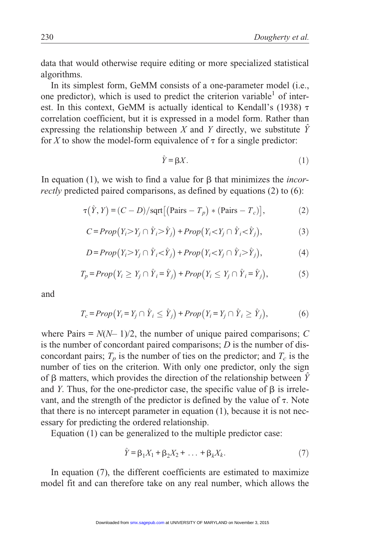data that would otherwise require editing or more specialized statistical algorithms.

In its simplest form, GeMM consists of a one-parameter model (i.e., one predictor), which is used to predict the criterion variable<sup>1</sup> of interest. In this context, GeMM is actually identical to Kendall's (1938)  $\tau$ correlation coefficient, but it is expressed in a model form. Rather than expressing the relationship between X and Y directly, we substitute  $\hat{Y}$ for X to show the model-form equivalence of  $\tau$  for a single predictor:

$$
\hat{Y} = \beta X. \tag{1}
$$

In equation (1), we wish to find a value for  $\beta$  that minimizes the *incor*rectly predicted paired comparisons, as defined by equations (2) to (6):

$$
\tau(\hat{Y}, Y) = (C - D)/\text{sqrt}[(\text{Pairs} - T_p) * (\text{Pairs} - T_c)],\tag{2}
$$

$$
C = Prop(Y_i > Y_j \cap \hat{Y}_i > \hat{Y}_j) + Prop(Y_i < Y_j \cap \hat{Y}_i < \hat{Y}_j),
$$
\n(3)

$$
D = Prop(Y_i > Y_j \cap \hat{Y}_i < \hat{Y}_j) + Prop(Y_i < Y_j \cap \hat{Y}_i > \hat{Y}_j),
$$
\n(4)

$$
T_p = Prop(Y_i \ge Y_j \cap \hat{Y}_i = \hat{Y}_j) + Prop(Y_i \le Y_j \cap \hat{Y}_i = \hat{Y}_j),
$$
\n(5)

and

$$
T_c = Prop(Y_i = Y_j \cap \hat{Y}_i \le \hat{Y}_j) + Prop(Y_i = Y_j \cap \hat{Y}_i \ge \hat{Y}_j),
$$
\n(6)

where Pairs =  $N(N-1)/2$ , the number of unique paired comparisons; C is the number of concordant paired comparisons;  $D$  is the number of disconcordant pairs;  $T_p$  is the number of ties on the predictor; and  $T_c$  is the number of ties on the criterion. With only one predictor, only the sign of  $\beta$  matters, which provides the direction of the relationship between  $\hat{Y}$ and Y. Thus, for the one-predictor case, the specific value of  $\beta$  is irrelevant, and the strength of the predictor is defined by the value of  $\tau$ . Note that there is no intercept parameter in equation (1), because it is not necessary for predicting the ordered relationship.

Equation (1) can be generalized to the multiple predictor case:

$$
\hat{Y} = \beta_1 X_1 + \beta_2 X_2 + \dots + \beta_k X_k.
$$
\n(7)

In equation (7), the different coefficients are estimated to maximize model fit and can therefore take on any real number, which allows the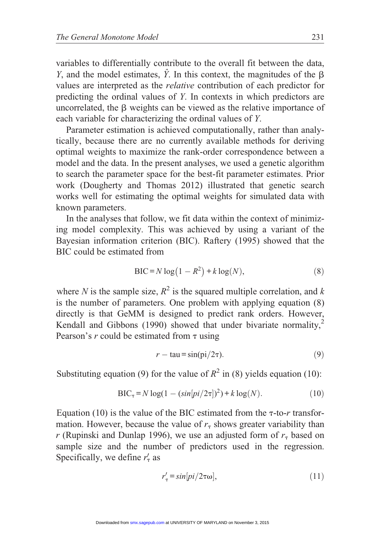variables to differentially contribute to the overall fit between the data, Y, and the model estimates,  $\hat{Y}$ . In this context, the magnitudes of the  $\beta$ values are interpreted as the relative contribution of each predictor for predicting the ordinal values of Y. In contexts in which predictors are uncorrelated, the  $\beta$  weights can be viewed as the relative importance of each variable for characterizing the ordinal values of Y.

Parameter estimation is achieved computationally, rather than analytically, because there are no currently available methods for deriving optimal weights to maximize the rank-order correspondence between a model and the data. In the present analyses, we used a genetic algorithm to search the parameter space for the best-fit parameter estimates. Prior work (Dougherty and Thomas 2012) illustrated that genetic search works well for estimating the optimal weights for simulated data with known parameters.

In the analyses that follow, we fit data within the context of minimizing model complexity. This was achieved by using a variant of the Bayesian information criterion (BIC). Raftery (1995) showed that the BIC could be estimated from

$$
BIC = N \log(1 - R^2) + k \log(N),\tag{8}
$$

where N is the sample size,  $R^2$  is the squared multiple correlation, and k is the number of parameters. One problem with applying equation (8) directly is that GeMM is designed to predict rank orders. However, Kendall and Gibbons (1990) showed that under bivariate normality, $<sup>2</sup>$ </sup> Pearson's  $r$  could be estimated from  $\tau$  using

$$
r - \tan = \sin(\pi/2\tau). \tag{9}
$$

Substituting equation (9) for the value of  $R^2$  in (8) yields equation (10):

$$
BIC_{\tau} = N \log(1 - (\sin[pi/2\tau])^{2}) + k \log(N).
$$
 (10)

Equation (10) is the value of the BIC estimated from the  $\tau$ -to-r transformation. However, because the value of  $r<sub>\tau</sub>$  shows greater variability than r (Rupinski and Dunlap 1996), we use an adjusted form of  $r<sub>\tau</sub>$  based on sample size and the number of predictors used in the regression. Specifically, we define  $r'_{\tau}$  as

$$
r'_{\tau} = \sin[p i / 2\tau \omega],\tag{11}
$$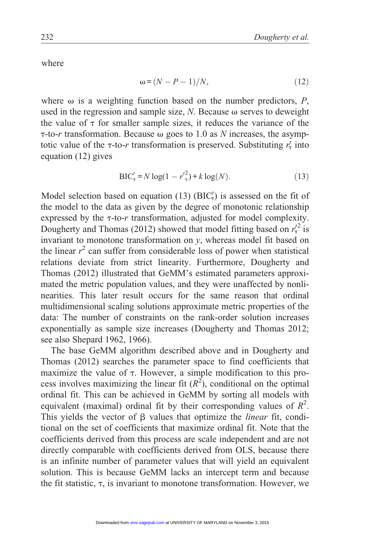where

$$
\omega = (N - P - 1)/N, \tag{12}
$$

where  $\omega$  is a weighting function based on the number predictors,  $P$ , used in the regression and sample size,  $N$ . Because  $\omega$  serves to deweight the value of  $\tau$  for smaller sample sizes, it reduces the variance of the  $\tau$ -to-r transformation. Because  $\omega$  goes to 1.0 as N increases, the asymptotic value of the  $\tau$ -to-r transformation is preserved. Substituting  $r_{\tau}$  into equation (12) gives

$$
BIC'_{\tau} = N \log(1 - {r'}_{\tau}^{2}) + k \log(N). \tag{13}
$$

Model selection based on equation (13)  $(BIC_{\tau})$  is assessed on the fit of the model to the data as given by the degree of monotonic relationship expressed by the  $\tau$ -to-r transformation, adjusted for model complexity. Dougherty and Thomas (2012) showed that model fitting based on  $r_7^{2}$  is invariant to monotone transformation on  $y$ , whereas model fit based on the linear  $r^2$  can suffer from considerable loss of power when statistical relations deviate from strict linearity. Furthermore, Dougherty and Thomas (2012) illustrated that GeMM's estimated parameters approximated the metric population values, and they were unaffected by nonlinearities. This later result occurs for the same reason that ordinal multidimensional scaling solutions approximate metric properties of the data: The number of constraints on the rank-order solution increases exponentially as sample size increases (Dougherty and Thomas 2012; see also Shepard 1962, 1966).

The base GeMM algorithm described above and in Dougherty and Thomas (2012) searches the parameter space to find coefficients that maximize the value of  $\tau$ . However, a simple modification to this process involves maximizing the linear fit  $(R^2)$ , conditional on the optimal ordinal fit. This can be achieved in GeMM by sorting all models with equivalent (maximal) ordinal fit by their corresponding values of  $R^2$ . This yields the vector of  $\beta$  values that optimize the *linear* fit, conditional on the set of coefficients that maximize ordinal fit. Note that the coefficients derived from this process are scale independent and are not directly comparable with coefficients derived from OLS, because there is an infinite number of parameter values that will yield an equivalent solution. This is because GeMM lacks an intercept term and because the fit statistic,  $\tau$ , is invariant to monotone transformation. However, we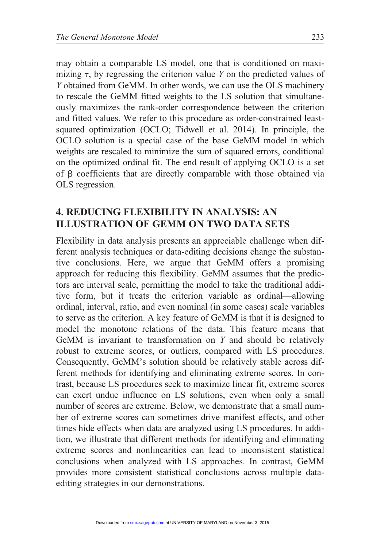may obtain a comparable LS model, one that is conditioned on maximizing  $\tau$ , by regressing the criterion value Y on the predicted values of Y obtained from GeMM. In other words, we can use the OLS machinery to rescale the GeMM fitted weights to the LS solution that simultaneously maximizes the rank-order correspondence between the criterion and fitted values. We refer to this procedure as order-constrained leastsquared optimization (OCLO; Tidwell et al. 2014). In principle, the OCLO solution is a special case of the base GeMM model in which weights are rescaled to minimize the sum of squared errors, conditional on the optimized ordinal fit. The end result of applying OCLO is a set of  $\beta$  coefficients that are directly comparable with those obtained via OLS regression.

## 4. REDUCING FLEXIBILITY IN ANALYSIS: AN ILLUSTRATION OF GEMM ON TWO DATA SETS

Flexibility in data analysis presents an appreciable challenge when different analysis techniques or data-editing decisions change the substantive conclusions. Here, we argue that GeMM offers a promising approach for reducing this flexibility. GeMM assumes that the predictors are interval scale, permitting the model to take the traditional additive form, but it treats the criterion variable as ordinal—allowing ordinal, interval, ratio, and even nominal (in some cases) scale variables to serve as the criterion. A key feature of GeMM is that it is designed to model the monotone relations of the data. This feature means that GeMM is invariant to transformation on  $Y$  and should be relatively robust to extreme scores, or outliers, compared with LS procedures. Consequently, GeMM's solution should be relatively stable across different methods for identifying and eliminating extreme scores. In contrast, because LS procedures seek to maximize linear fit, extreme scores can exert undue influence on LS solutions, even when only a small number of scores are extreme. Below, we demonstrate that a small number of extreme scores can sometimes drive manifest effects, and other times hide effects when data are analyzed using LS procedures. In addition, we illustrate that different methods for identifying and eliminating extreme scores and nonlinearities can lead to inconsistent statistical conclusions when analyzed with LS approaches. In contrast, GeMM provides more consistent statistical conclusions across multiple dataediting strategies in our demonstrations.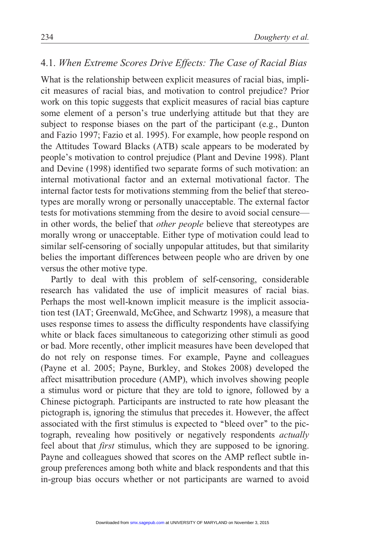# 4.1. When Extreme Scores Drive Effects: The Case of Racial Bias

What is the relationship between explicit measures of racial bias, implicit measures of racial bias, and motivation to control prejudice? Prior work on this topic suggests that explicit measures of racial bias capture some element of a person's true underlying attitude but that they are subject to response biases on the part of the participant (e.g., Dunton and Fazio 1997; Fazio et al. 1995). For example, how people respond on the Attitudes Toward Blacks (ATB) scale appears to be moderated by people's motivation to control prejudice (Plant and Devine 1998). Plant and Devine (1998) identified two separate forms of such motivation: an internal motivational factor and an external motivational factor. The internal factor tests for motivations stemming from the belief that stereotypes are morally wrong or personally unacceptable. The external factor tests for motivations stemming from the desire to avoid social censure in other words, the belief that other people believe that stereotypes are morally wrong or unacceptable. Either type of motivation could lead to similar self-censoring of socially unpopular attitudes, but that similarity belies the important differences between people who are driven by one versus the other motive type.

Partly to deal with this problem of self-censoring, considerable research has validated the use of implicit measures of racial bias. Perhaps the most well-known implicit measure is the implicit association test (IAT; Greenwald, McGhee, and Schwartz 1998), a measure that uses response times to assess the difficulty respondents have classifying white or black faces simultaneous to categorizing other stimuli as good or bad. More recently, other implicit measures have been developed that do not rely on response times. For example, Payne and colleagues (Payne et al. 2005; Payne, Burkley, and Stokes 2008) developed the affect misattribution procedure (AMP), which involves showing people a stimulus word or picture that they are told to ignore, followed by a Chinese pictograph. Participants are instructed to rate how pleasant the pictograph is, ignoring the stimulus that precedes it. However, the affect associated with the first stimulus is expected to ''bleed over'' to the pictograph, revealing how positively or negatively respondents actually feel about that first stimulus, which they are supposed to be ignoring. Payne and colleagues showed that scores on the AMP reflect subtle ingroup preferences among both white and black respondents and that this in-group bias occurs whether or not participants are warned to avoid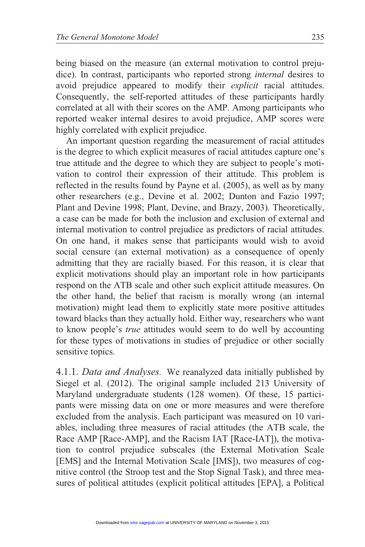being biased on the measure (an external motivation to control prejudice). In contrast, participants who reported strong internal desires to avoid prejudice appeared to modify their explicit racial attitudes. Consequently, the self-reported attitudes of these participants hardly correlated at all with their scores on the AMP. Among participants who reported weaker internal desires to avoid prejudice, AMP scores were highly correlated with explicit prejudice.

An important question regarding the measurement of racial attitudes is the degree to which explicit measures of racial attitudes capture one's true attitude and the degree to which they are subject to people's motivation to control their expression of their attitude. This problem is reflected in the results found by Payne et al. (2005), as well as by many other researchers (e.g., Devine et al. 2002; Dunton and Fazio 1997; Plant and Devine 1998; Plant, Devine, and Brazy, 2003). Theoretically, a case can be made for both the inclusion and exclusion of external and internal motivation to control prejudice as predictors of racial attitudes. On one hand, it makes sense that participants would wish to avoid social censure (an external motivation) as a consequence of openly admitting that they are racially biased. For this reason, it is clear that explicit motivations should play an important role in how participants respond on the ATB scale and other such explicit attitude measures. On the other hand, the belief that racism is morally wrong (an internal motivation) might lead them to explicitly state more positive attitudes toward blacks than they actually hold. Either way, researchers who want to know people's true attitudes would seem to do well by accounting for these types of motivations in studies of prejudice or other socially sensitive topics.

4.1.1. Data and Analyses. We reanalyzed data initially published by Siegel et al. (2012). The original sample included 213 University of Maryland undergraduate students (128 women). Of these, 15 participants were missing data on one or more measures and were therefore excluded from the analysis. Each participant was measured on 10 variables, including three measures of racial attitudes (the ATB scale, the Race AMP [Race-AMP], and the Racism IAT [Race-IAT]), the motivation to control prejudice subscales (the External Motivation Scale [EMS] and the Internal Motivation Scale [IMS]), two measures of cognitive control (the Stroop test and the Stop Signal Task), and three measures of political attitudes (explicit political attitudes [EPA], a Political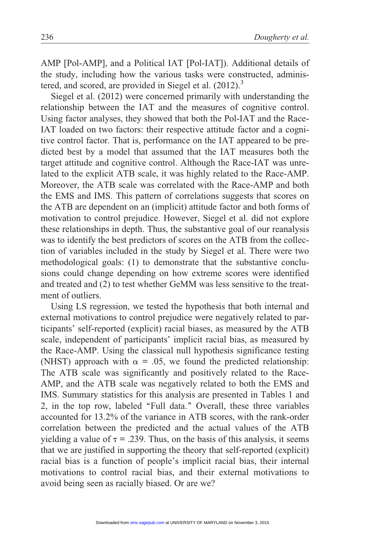AMP [Pol-AMP], and a Political IAT [Pol-IAT]). Additional details of the study, including how the various tasks were constructed, administered, and scored, are provided in Siegel et al. (2012).<sup>3</sup>

Siegel et al. (2012) were concerned primarily with understanding the relationship between the IAT and the measures of cognitive control. Using factor analyses, they showed that both the Pol-IAT and the Race-IAT loaded on two factors: their respective attitude factor and a cognitive control factor. That is, performance on the IAT appeared to be predicted best by a model that assumed that the IAT measures both the target attitude and cognitive control. Although the Race-IAT was unrelated to the explicit ATB scale, it was highly related to the Race-AMP. Moreover, the ATB scale was correlated with the Race-AMP and both the EMS and IMS. This pattern of correlations suggests that scores on the ATB are dependent on an (implicit) attitude factor and both forms of motivation to control prejudice. However, Siegel et al. did not explore these relationships in depth. Thus, the substantive goal of our reanalysis was to identify the best predictors of scores on the ATB from the collection of variables included in the study by Siegel et al. There were two methodological goals: (1) to demonstrate that the substantive conclusions could change depending on how extreme scores were identified and treated and (2) to test whether GeMM was less sensitive to the treatment of outliers.

Using LS regression, we tested the hypothesis that both internal and external motivations to control prejudice were negatively related to participants' self-reported (explicit) racial biases, as measured by the ATB scale, independent of participants' implicit racial bias, as measured by the Race-AMP. Using the classical null hypothesis significance testing (NHST) approach with  $\alpha = .05$ , we found the predicted relationship: The ATB scale was significantly and positively related to the Race-AMP, and the ATB scale was negatively related to both the EMS and IMS. Summary statistics for this analysis are presented in Tables 1 and 2, in the top row, labeled ''Full data.'' Overall, these three variables accounted for 13.2% of the variance in ATB scores, with the rank-order correlation between the predicted and the actual values of the ATB yielding a value of  $\tau$  = .239. Thus, on the basis of this analysis, it seems that we are justified in supporting the theory that self-reported (explicit) racial bias is a function of people's implicit racial bias, their internal motivations to control racial bias, and their external motivations to avoid being seen as racially biased. Or are we?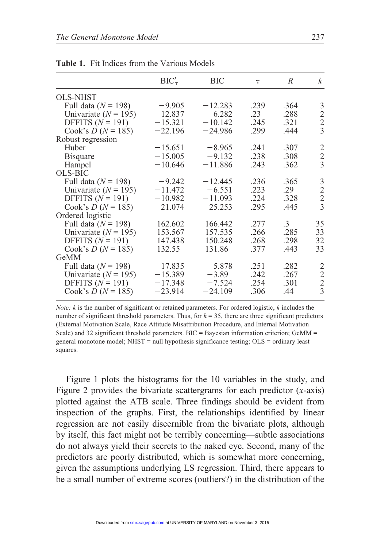|                          | $BIC'_{\tau}$ | BIC       | $\tau$  | $\overline{R}$ | $\boldsymbol{k}$ |
|--------------------------|---------------|-----------|---------|----------------|------------------|
| <b>OLS-NHST</b>          |               |           |         |                |                  |
| Full data ( $N = 198$ )  | $-9.905$      | $-12.283$ | .239    | .364           | 3                |
| Univariate ( $N = 195$ ) | $-12.837$     | $-6.282$  | $.23\,$ | .288           | $\frac{2}{2}$    |
| DFFITS $(N = 191)$       | $-15.321$     | $-10.142$ | .245    | .321           |                  |
| Cook's $D (N = 185)$     | $-22.196$     | $-24.986$ | .299    | .444           | $\overline{3}$   |
| Robust regression        |               |           |         |                |                  |
| Huber                    | $-15.651$     | $-8.965$  | .241    | .307           | 2                |
| <b>B</b> isquare         | $-15.005$     | $-9.132$  | .238    | .308           | $\frac{2}{3}$    |
| Hampel                   | $-10.646$     | $-11.886$ | .243    | .362           |                  |
| <b>OLS-BIC</b>           |               |           |         |                |                  |
| Full data $(N = 198)$    | $-9.242$      | $-12.445$ | .236    | .365           | 3                |
| Univariate ( $N = 195$ ) | $-11.472$     | $-6.551$  | .223    | .29            | $\frac{2}{3}$    |
| DFFITS $(N = 191)$       | $-10.982$     | $-11.093$ | .224    | .328           |                  |
| Cook's $D (N = 185)$     | $-21.074$     | $-25.253$ | .295    | .445           |                  |
| Ordered logistic         |               |           |         |                |                  |
| Full data ( $N = 198$ )  | 162.602       | 166.442   | .277    | $\cdot$ 3      | 35               |
| Univariate ( $N = 195$ ) | 153.567       | 157.535   | .266    | .285           | 33               |
| DFFITS $(N = 191)$       | 147.438       | 150.248   | .268    | .298           | 32               |
| Cook's $D (N = 185)$     | 132.55        | 131.86    | .377    | .443           | 33               |
| GeMM                     |               |           |         |                |                  |
| Full data ( $N = 198$ )  | $-17.835$     | $-5.878$  | .251    | .282           | 2                |
| Univariate ( $N = 195$ ) | $-15.389$     | $-3.89$   | .242    | .267           | $\frac{2}{2}$    |
| DFFITS $(N = 191)$       | $-17.348$     | $-7.524$  | .254    | .301           |                  |
| Cook's $D (N = 185)$     | $-23.914$     | $-24.109$ | .306    | .44            | $\overline{3}$   |
|                          |               |           |         |                |                  |

Table 1. Fit Indices from the Various Models

Note: k is the number of significant or retained parameters. For ordered logistic, k includes the number of significant threshold parameters. Thus, for  $k = 35$ , there are three significant predictors (External Motivation Scale, Race Attitude Misattribution Procedure, and Internal Motivation Scale) and 32 significant threshold parameters. BIC = Bayesian information criterion; GeMM = general monotone model; NHST = null hypothesis significance testing; OLS = ordinary least squares.

Figure 1 plots the histograms for the 10 variables in the study, and Figure 2 provides the bivariate scattergrams for each predictor  $(x\text{-axis})$ plotted against the ATB scale. Three findings should be evident from inspection of the graphs. First, the relationships identified by linear regression are not easily discernible from the bivariate plots, although by itself, this fact might not be terribly concerning—subtle associations do not always yield their secrets to the naked eye. Second, many of the predictors are poorly distributed, which is somewhat more concerning, given the assumptions underlying LS regression. Third, there appears to be a small number of extreme scores (outliers?) in the distribution of the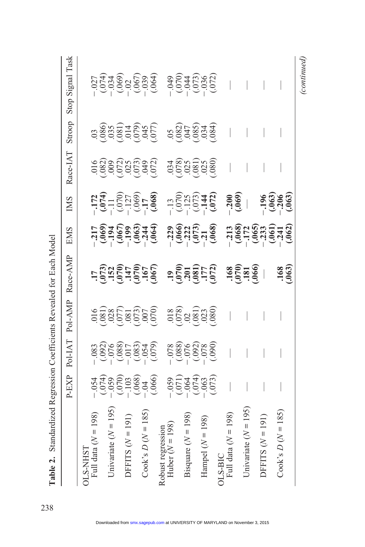|                                  | P-EXP                                                                                  | Pol-IAT                                                                                      | Pol-AMP        | Race-AMP                                                                              | <b>EMS</b>                                                                                                               | <b>IMS</b>                                                                                                                              | Race-IAT | Stroop | Task<br>Stop Signal |
|----------------------------------|----------------------------------------------------------------------------------------|----------------------------------------------------------------------------------------------|----------------|---------------------------------------------------------------------------------------|--------------------------------------------------------------------------------------------------------------------------|-----------------------------------------------------------------------------------------------------------------------------------------|----------|--------|---------------------|
| <b>DLS-NHST</b>                  |                                                                                        |                                                                                              |                |                                                                                       |                                                                                                                          |                                                                                                                                         |          |        |                     |
| Full data $(N = 198)$            |                                                                                        |                                                                                              |                |                                                                                       |                                                                                                                          |                                                                                                                                         |          |        |                     |
|                                  |                                                                                        |                                                                                              |                |                                                                                       |                                                                                                                          |                                                                                                                                         |          |        |                     |
| Jnivariate $(N = 195)$           |                                                                                        |                                                                                              |                |                                                                                       |                                                                                                                          |                                                                                                                                         |          |        |                     |
|                                  |                                                                                        |                                                                                              |                |                                                                                       |                                                                                                                          |                                                                                                                                         |          |        |                     |
| DFFITS $(N = 191)$               |                                                                                        |                                                                                              |                |                                                                                       |                                                                                                                          |                                                                                                                                         |          |        |                     |
|                                  |                                                                                        |                                                                                              |                |                                                                                       |                                                                                                                          |                                                                                                                                         |          |        |                     |
| 185<br>Cook's $D(N =$            |                                                                                        |                                                                                              |                |                                                                                       |                                                                                                                          |                                                                                                                                         |          |        |                     |
|                                  | $-054$<br>$-059$<br>$-059$<br>$-059$<br>$-059$<br>$-068$<br>$-069$<br>$-069$<br>$-069$ | $-0.033$<br>$-0.000$<br>$-0.000$<br>$-0.000$<br>$-0.000$<br>$-0.000$<br>$-0.000$<br>$-0.000$ |                | $\begin{array}{c}\n 17 \\  1073 \\  152 \\  1970 \\  147 \\  070 \\  07\n\end{array}$ | $-217$<br>$-394$ 500<br>$-196$<br>$-196$<br>$-196$<br>$-196$<br>$-196$<br>$-196$<br>$-196$<br>$-196$<br>$-196$<br>$-196$ |                                                                                                                                         |          |        |                     |
| Robust regression                |                                                                                        |                                                                                              |                |                                                                                       |                                                                                                                          | $774$<br>$797$ ( $700$ , $700$ , $8$<br>$797$ ( $700$ , $8$ )<br>$700$ , $700$ , $700$ , $700$ , $700$<br>$700$ , $700$ , $700$ , $700$ |          |        |                     |
| Huber $(N = 198)$                |                                                                                        |                                                                                              |                |                                                                                       |                                                                                                                          |                                                                                                                                         |          |        |                     |
|                                  |                                                                                        |                                                                                              |                |                                                                                       |                                                                                                                          |                                                                                                                                         |          |        |                     |
| Bisquare $(N = 198)$             |                                                                                        |                                                                                              |                |                                                                                       |                                                                                                                          |                                                                                                                                         |          |        |                     |
|                                  |                                                                                        |                                                                                              |                |                                                                                       |                                                                                                                          |                                                                                                                                         |          |        |                     |
| Hampel $(N = 198)$               |                                                                                        |                                                                                              |                |                                                                                       |                                                                                                                          |                                                                                                                                         |          |        |                     |
|                                  | $-059$<br>$(071)$<br>$(064)$<br>$(074)$<br>$(073)$<br>$(073)$                          | $-0.88$<br>$-0.088$<br>$-0.058$<br>$-0.058$<br>$-0.05$<br>$-0.05$<br>$-0.05$                 | 388<br>3883388 |                                                                                       | $-229$<br>$(0.066)$<br>$(0.73)$<br>$(0.73)$<br>$(0.068)$                                                                 |                                                                                                                                         |          |        |                     |
| Full data $(N = 198)$<br>$S-BIC$ |                                                                                        |                                                                                              |                |                                                                                       |                                                                                                                          |                                                                                                                                         |          |        |                     |
|                                  |                                                                                        |                                                                                              |                | $\frac{168}{1810}$                                                                    |                                                                                                                          | (0.000)                                                                                                                                 |          |        |                     |
| Jnivariate $(N = 195)$           |                                                                                        |                                                                                              |                |                                                                                       |                                                                                                                          |                                                                                                                                         |          |        |                     |
|                                  |                                                                                        |                                                                                              |                |                                                                                       |                                                                                                                          |                                                                                                                                         |          |        |                     |
| 191)<br>DFFITS $(N =$            |                                                                                        |                                                                                              |                |                                                                                       |                                                                                                                          |                                                                                                                                         |          |        |                     |
|                                  |                                                                                        |                                                                                              |                |                                                                                       |                                                                                                                          |                                                                                                                                         |          |        |                     |
| $\cos^3 2D (N = 185)$            |                                                                                        |                                                                                              |                | $.168$<br>$.063$                                                                      |                                                                                                                          | $1969$<br>$-3969$<br>$-1969$                                                                                                            |          |        |                     |
|                                  |                                                                                        |                                                                                              |                |                                                                                       |                                                                                                                          |                                                                                                                                         |          |        |                     |

(continued)

Table 2. Standardized Regression Coefficients Revealed for Each Model Table 2. Standardized Regression Coefficients Revealed for Each Model

238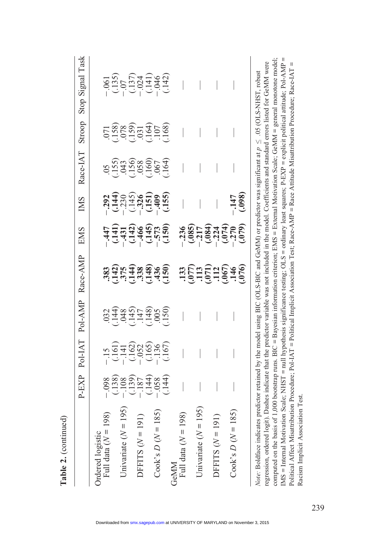|                                                                                                                                                      | P-EXP                                                                                                                                                                                                                                                                                                                              |                                                                   | Pol-IAT Pol-AMP Race-AMP   | <b>EMS</b>                                                                                       | <b>IMS</b>               | Race-IAT        | Stroop                                                                                                      | Stop Signal Task                                                                                                                                                                                                                                                                       |
|------------------------------------------------------------------------------------------------------------------------------------------------------|------------------------------------------------------------------------------------------------------------------------------------------------------------------------------------------------------------------------------------------------------------------------------------------------------------------------------------|-------------------------------------------------------------------|----------------------------|--------------------------------------------------------------------------------------------------|--------------------------|-----------------|-------------------------------------------------------------------------------------------------------------|----------------------------------------------------------------------------------------------------------------------------------------------------------------------------------------------------------------------------------------------------------------------------------------|
| Full data $(N = 198)$<br>rdered logistic                                                                                                             |                                                                                                                                                                                                                                                                                                                                    |                                                                   |                            |                                                                                                  |                          |                 |                                                                                                             |                                                                                                                                                                                                                                                                                        |
|                                                                                                                                                      | $\begin{array}{c} -1.138 \\ -1.138 \\ -1.139 \\ -1.139 \\ -1.139 \\ -1.144 \\ -1.144 \\ -1.144 \\ -1.144 \\ -1.144 \\ -1.144 \\ -1.144 \\ -1.144 \\ -1.144 \\ -1.144 \\ -1.144 \\ -1.144 \\ -1.144 \\ -1.144 \\ -1.144 \\ -1.144 \\ -1.144 \\ -1.144 \\ -1.144 \\ -1.144 \\ -1.144 \\ -1.144 \\ -1.144 \\ -1.144 \\ -1.144 \\ -1.$ | $-15$<br>$-141$<br>$-162$<br>$-162$<br>$-156$<br>$-167$<br>$-167$ | n Hu Hu Hu Hu<br>846488666 | $-447$<br>$-431$<br>$-431$<br>$-466$<br>$-466$<br>$-573$<br>$-573$<br>$-573$<br>$-573$           | 233666566<br>23346576666 | 653688054955569 | $-0.188$<br>$-0.58$<br>$-0.59$<br>$-0.59$<br>$-0.59$<br>$-0.58$<br>$-0.58$<br>$-0.58$<br>$-0.58$<br>$-0.58$ | $\begin{array}{c} -0.00000\\ -0.00000\\ -0.00000\\ -0.00000\\ -0.00000\\ -0.00000\\ -0.00000\\ -0.00000\\ -0.00000\\ -0.00000\\ -0.00000\\ -0.00000\\ -0.00000\\ -0.00000\\ -0.00000\\ -0.00000\\ -0.00000\\ -0.00000\\ -0.00000\\ -0.00000\\ -0.00000\\ -0.00000\\ -0.00000\\ -0.000$ |
| Jnivariate $(N = 195)$                                                                                                                               |                                                                                                                                                                                                                                                                                                                                    |                                                                   |                            |                                                                                                  |                          |                 |                                                                                                             |                                                                                                                                                                                                                                                                                        |
|                                                                                                                                                      |                                                                                                                                                                                                                                                                                                                                    |                                                                   |                            |                                                                                                  |                          |                 |                                                                                                             |                                                                                                                                                                                                                                                                                        |
| DEFITS $(N = 191)$                                                                                                                                   |                                                                                                                                                                                                                                                                                                                                    |                                                                   |                            |                                                                                                  |                          |                 |                                                                                                             |                                                                                                                                                                                                                                                                                        |
|                                                                                                                                                      |                                                                                                                                                                                                                                                                                                                                    |                                                                   |                            |                                                                                                  |                          |                 |                                                                                                             |                                                                                                                                                                                                                                                                                        |
| $Cook's D (N = 185)$                                                                                                                                 |                                                                                                                                                                                                                                                                                                                                    |                                                                   |                            |                                                                                                  |                          |                 |                                                                                                             |                                                                                                                                                                                                                                                                                        |
|                                                                                                                                                      |                                                                                                                                                                                                                                                                                                                                    |                                                                   |                            |                                                                                                  |                          |                 |                                                                                                             |                                                                                                                                                                                                                                                                                        |
| NDNeC                                                                                                                                                |                                                                                                                                                                                                                                                                                                                                    |                                                                   |                            |                                                                                                  |                          |                 |                                                                                                             |                                                                                                                                                                                                                                                                                        |
| Full data $(N = 198)$                                                                                                                                |                                                                                                                                                                                                                                                                                                                                    |                                                                   |                            |                                                                                                  |                          |                 |                                                                                                             |                                                                                                                                                                                                                                                                                        |
|                                                                                                                                                      |                                                                                                                                                                                                                                                                                                                                    |                                                                   |                            |                                                                                                  |                          |                 |                                                                                                             |                                                                                                                                                                                                                                                                                        |
| Jnivariate $(N = 195)$                                                                                                                               |                                                                                                                                                                                                                                                                                                                                    |                                                                   |                            | $5.80$<br>$7.80$<br>$7.80$<br>$7.80$<br>$7.80$<br>$7.80$<br>$7.80$<br>$7.80$<br>$7.80$<br>$7.80$ |                          |                 |                                                                                                             |                                                                                                                                                                                                                                                                                        |
|                                                                                                                                                      |                                                                                                                                                                                                                                                                                                                                    |                                                                   |                            |                                                                                                  |                          |                 |                                                                                                             |                                                                                                                                                                                                                                                                                        |
| DEFITS $(N = 191)$                                                                                                                                   |                                                                                                                                                                                                                                                                                                                                    |                                                                   |                            |                                                                                                  |                          |                 |                                                                                                             |                                                                                                                                                                                                                                                                                        |
|                                                                                                                                                      |                                                                                                                                                                                                                                                                                                                                    |                                                                   |                            |                                                                                                  |                          |                 |                                                                                                             |                                                                                                                                                                                                                                                                                        |
| $Cook's D (N = 185)$                                                                                                                                 |                                                                                                                                                                                                                                                                                                                                    |                                                                   |                            |                                                                                                  |                          |                 |                                                                                                             |                                                                                                                                                                                                                                                                                        |
|                                                                                                                                                      |                                                                                                                                                                                                                                                                                                                                    |                                                                   |                            |                                                                                                  | (0.005)                  |                 |                                                                                                             |                                                                                                                                                                                                                                                                                        |
| Note: Boldface indicates predictor retained by the model using BIC (OLS-BIC and GeMM) or predictor was significant at $p \leq .05$ (OLS-NHST, robust |                                                                                                                                                                                                                                                                                                                                    |                                                                   |                            |                                                                                                  |                          |                 |                                                                                                             |                                                                                                                                                                                                                                                                                        |

computed on the basis of 1,000 bootstrap runs. BIC = Bayesian information criterion; EMS = External Motivation Scale; GeMM = general monotone model; IMS = Internal Motivation Scale; NHST = null hypothesis significance testing; OLS = ordinary least squares; P-EXP = explicit political attitude; Pol-AMP = computed on the basis of 1,000 bootstrap runs. BIC = Bayesian information criterion; EMS = External Motivation Scale; GeMM = general monotone model; IMS = Internal Motivation Scale; NHST = null hypothesis significance testing; OLS = ordinary least squares; P-EXP = explicit political attitude; Pol-AMP = regression, ordered logit). Dashes indicate that the predictor variable was not included in the model. Coefficients and standard errors listed for GeMM were Political Affect Misattribution Procedure; Pol-IAT = Political Implicit Association Test; Race-AMP = Race Attitude Misattribution Procedure; Race-IAT = regression, ordered logit). Dashes indicate that the predictor variable was not included in the model. Coefficients and standard errors listed for GeMM were Political Affect Misattribution Procedure; Pol-IAT = Political Implicit Association Test; Race-AMP = Race Attitude Misattribution Procedure; Race-IAT =  $\leq .05$  (OLS-NHST, robust VI Note: Boldface indicates predictor retained by the model using BIC (OLS-BIC and GeMM) or predictor was significant at Racism Implicit Association Test. Racism Implicit Association Test.

Table 2. (continued)

Table 2. (continued)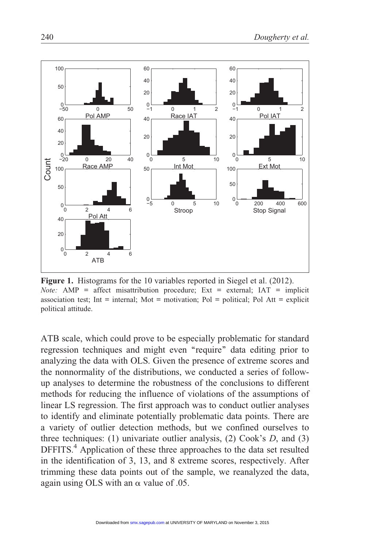

Figure 1. Histograms for the 10 variables reported in Siegel et al. (2012). *Note:* AMP = affect misattribution procedure; Ext = external;  $IAT =$  implicit association test; Int = internal; Mot = motivation; Pol = political; Pol Att = explicit political attitude.

ATB scale, which could prove to be especially problematic for standard regression techniques and might even "require" data editing prior to analyzing the data with OLS. Given the presence of extreme scores and the nonnormality of the distributions, we conducted a series of followup analyses to determine the robustness of the conclusions to different methods for reducing the influence of violations of the assumptions of linear LS regression. The first approach was to conduct outlier analyses to identify and eliminate potentially problematic data points. There are a variety of outlier detection methods, but we confined ourselves to three techniques: (1) univariate outlier analysis, (2) Cook's  $D$ , and (3) DFFITS.<sup>4</sup> Application of these three approaches to the data set resulted in the identification of 3, 13, and 8 extreme scores, respectively. After trimming these data points out of the sample, we reanalyzed the data, again using OLS with an  $\alpha$  value of .05.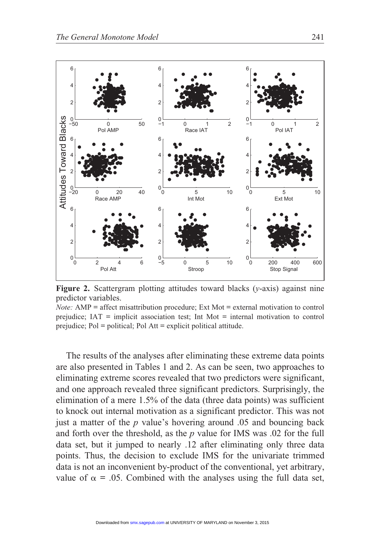

**Figure 2.** Scattergram plotting attitudes toward blacks  $(y\text{-axis})$  against nine predictor variables.

*Note:* AMP = affect misattribution procedure; Ext Mot = external motivation to control prejudice; IAT = implicit association test; Int Mot = internal motivation to control prejudice; Pol = political; Pol Att = explicit political attitude.

The results of the analyses after eliminating these extreme data points are also presented in Tables 1 and 2. As can be seen, two approaches to eliminating extreme scores revealed that two predictors were significant, and one approach revealed three significant predictors. Surprisingly, the elimination of a mere 1.5% of the data (three data points) was sufficient to knock out internal motivation as a significant predictor. This was not just a matter of the  $p$  value's hovering around .05 and bouncing back and forth over the threshold, as the p value for IMS was .02 for the full data set, but it jumped to nearly .12 after eliminating only three data points. Thus, the decision to exclude IMS for the univariate trimmed data is not an inconvenient by-product of the conventional, yet arbitrary, value of  $\alpha$  = .05. Combined with the analyses using the full data set,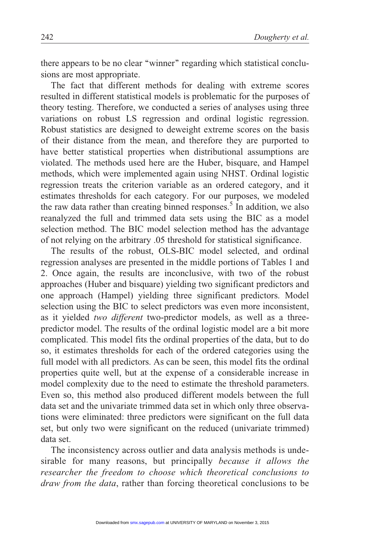there appears to be no clear ''winner'' regarding which statistical conclusions are most appropriate.

The fact that different methods for dealing with extreme scores resulted in different statistical models is problematic for the purposes of theory testing. Therefore, we conducted a series of analyses using three variations on robust LS regression and ordinal logistic regression. Robust statistics are designed to deweight extreme scores on the basis of their distance from the mean, and therefore they are purported to have better statistical properties when distributional assumptions are violated. The methods used here are the Huber, bisquare, and Hampel methods, which were implemented again using NHST. Ordinal logistic regression treats the criterion variable as an ordered category, and it estimates thresholds for each category. For our purposes, we modeled the raw data rather than creating binned responses.<sup>5</sup> In addition, we also reanalyzed the full and trimmed data sets using the BIC as a model selection method. The BIC model selection method has the advantage of not relying on the arbitrary .05 threshold for statistical significance.

The results of the robust, OLS-BIC model selected, and ordinal regression analyses are presented in the middle portions of Tables 1 and 2. Once again, the results are inconclusive, with two of the robust approaches (Huber and bisquare) yielding two significant predictors and one approach (Hampel) yielding three significant predictors. Model selection using the BIC to select predictors was even more inconsistent, as it yielded two different two-predictor models, as well as a threepredictor model. The results of the ordinal logistic model are a bit more complicated. This model fits the ordinal properties of the data, but to do so, it estimates thresholds for each of the ordered categories using the full model with all predictors. As can be seen, this model fits the ordinal properties quite well, but at the expense of a considerable increase in model complexity due to the need to estimate the threshold parameters. Even so, this method also produced different models between the full data set and the univariate trimmed data set in which only three observations were eliminated: three predictors were significant on the full data set, but only two were significant on the reduced (univariate trimmed) data set.

The inconsistency across outlier and data analysis methods is undesirable for many reasons, but principally because it allows the researcher the freedom to choose which theoretical conclusions to draw from the data, rather than forcing theoretical conclusions to be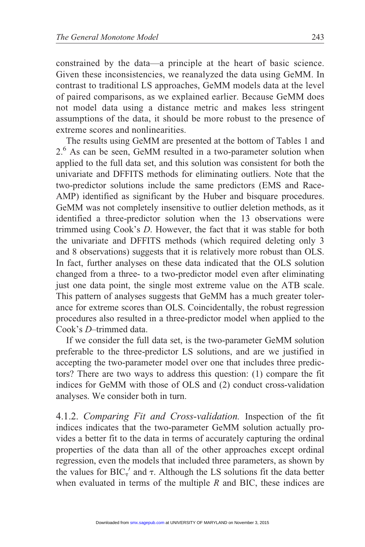constrained by the data—a principle at the heart of basic science. Given these inconsistencies, we reanalyzed the data using GeMM. In contrast to traditional LS approaches, GeMM models data at the level of paired comparisons, as we explained earlier. Because GeMM does not model data using a distance metric and makes less stringent assumptions of the data, it should be more robust to the presence of extreme scores and nonlinearities.

The results using GeMM are presented at the bottom of Tables 1 and 2.<sup>6</sup> As can be seen, GeMM resulted in a two-parameter solution when applied to the full data set, and this solution was consistent for both the univariate and DFFITS methods for eliminating outliers. Note that the two-predictor solutions include the same predictors (EMS and Race-AMP) identified as significant by the Huber and bisquare procedures. GeMM was not completely insensitive to outlier deletion methods, as it identified a three-predictor solution when the 13 observations were trimmed using Cook's D. However, the fact that it was stable for both the univariate and DFFITS methods (which required deleting only 3 and 8 observations) suggests that it is relatively more robust than OLS. In fact, further analyses on these data indicated that the OLS solution changed from a three- to a two-predictor model even after eliminating just one data point, the single most extreme value on the ATB scale. This pattern of analyses suggests that GeMM has a much greater tolerance for extreme scores than OLS. Coincidentally, the robust regression procedures also resulted in a three-predictor model when applied to the Cook's D–trimmed data.

If we consider the full data set, is the two-parameter GeMM solution preferable to the three-predictor LS solutions, and are we justified in accepting the two-parameter model over one that includes three predictors? There are two ways to address this question: (1) compare the fit indices for GeMM with those of OLS and (2) conduct cross-validation analyses. We consider both in turn.

4.1.2. Comparing Fit and Cross-validation. Inspection of the fit indices indicates that the two-parameter GeMM solution actually provides a better fit to the data in terms of accurately capturing the ordinal properties of the data than all of the other approaches except ordinal regression, even the models that included three parameters, as shown by the values for  $BIC'_{\tau}$  and  $\tau$ . Although the LS solutions fit the data better when evaluated in terms of the multiple  $R$  and BIC, these indices are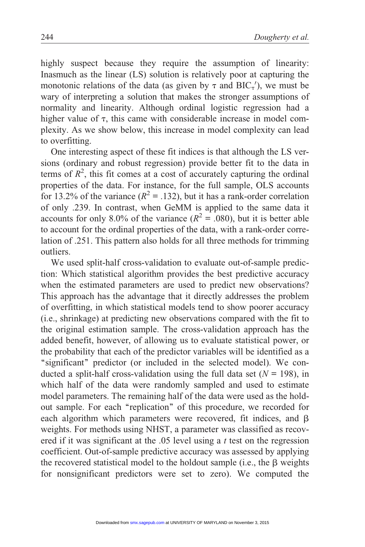highly suspect because they require the assumption of linearity: Inasmuch as the linear (LS) solution is relatively poor at capturing the monotonic relations of the data (as given by  $\tau$  and BIC<sub> $\tau$ </sub>'), we must be wary of interpreting a solution that makes the stronger assumptions of normality and linearity. Although ordinal logistic regression had a higher value of  $\tau$ , this came with considerable increase in model complexity. As we show below, this increase in model complexity can lead to overfitting.

One interesting aspect of these fit indices is that although the LS versions (ordinary and robust regression) provide better fit to the data in terms of  $R^2$ , this fit comes at a cost of accurately capturing the ordinal properties of the data. For instance, for the full sample, OLS accounts for 13.2% of the variance  $(R^2 = .132)$ , but it has a rank-order correlation of only .239. In contrast, when GeMM is applied to the same data it accounts for only 8.0% of the variance ( $R^2 = .080$ ), but it is better able to account for the ordinal properties of the data, with a rank-order correlation of .251. This pattern also holds for all three methods for trimming outliers.

We used split-half cross-validation to evaluate out-of-sample prediction: Which statistical algorithm provides the best predictive accuracy when the estimated parameters are used to predict new observations? This approach has the advantage that it directly addresses the problem of overfitting, in which statistical models tend to show poorer accuracy (i.e., shrinkage) at predicting new observations compared with the fit to the original estimation sample. The cross-validation approach has the added benefit, however, of allowing us to evaluate statistical power, or the probability that each of the predictor variables will be identified as a "significant" predictor (or included in the selected model). We conducted a split-half cross-validation using the full data set  $(N = 198)$ , in which half of the data were randomly sampled and used to estimate model parameters. The remaining half of the data were used as the holdout sample. For each ''replication'' of this procedure, we recorded for each algorithm which parameters were recovered, fit indices, and  $\beta$ weights. For methods using NHST, a parameter was classified as recovered if it was significant at the  $.05$  level using a t test on the regression coefficient. Out-of-sample predictive accuracy was assessed by applying the recovered statistical model to the holdout sample  $(i.e., the \beta weights)$ for nonsignificant predictors were set to zero). We computed the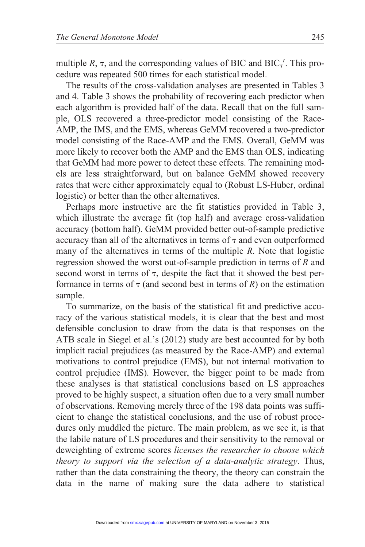multiple R,  $\tau$ , and the corresponding values of BIC and BIC<sub>7</sub>'. This procedure was repeated 500 times for each statistical model.

The results of the cross-validation analyses are presented in Tables 3 and 4. Table 3 shows the probability of recovering each predictor when each algorithm is provided half of the data. Recall that on the full sample, OLS recovered a three-predictor model consisting of the Race-AMP, the IMS, and the EMS, whereas GeMM recovered a two-predictor model consisting of the Race-AMP and the EMS. Overall, GeMM was more likely to recover both the AMP and the EMS than OLS, indicating that GeMM had more power to detect these effects. The remaining models are less straightforward, but on balance GeMM showed recovery rates that were either approximately equal to (Robust LS-Huber, ordinal logistic) or better than the other alternatives.

Perhaps more instructive are the fit statistics provided in Table 3, which illustrate the average fit (top half) and average cross-validation accuracy (bottom half). GeMM provided better out-of-sample predictive accuracy than all of the alternatives in terms of  $\tau$  and even outperformed many of the alternatives in terms of the multiple R. Note that logistic regression showed the worst out-of-sample prediction in terms of R and second worst in terms of  $\tau$ , despite the fact that it showed the best performance in terms of  $\tau$  (and second best in terms of R) on the estimation sample.

To summarize, on the basis of the statistical fit and predictive accuracy of the various statistical models, it is clear that the best and most defensible conclusion to draw from the data is that responses on the ATB scale in Siegel et al.'s (2012) study are best accounted for by both implicit racial prejudices (as measured by the Race-AMP) and external motivations to control prejudice (EMS), but not internal motivation to control prejudice (IMS). However, the bigger point to be made from these analyses is that statistical conclusions based on LS approaches proved to be highly suspect, a situation often due to a very small number of observations. Removing merely three of the 198 data points was sufficient to change the statistical conclusions, and the use of robust procedures only muddled the picture. The main problem, as we see it, is that the labile nature of LS procedures and their sensitivity to the removal or deweighting of extreme scores licenses the researcher to choose which theory to support via the selection of a data-analytic strategy. Thus, rather than the data constraining the theory, the theory can constrain the data in the name of making sure the data adhere to statistical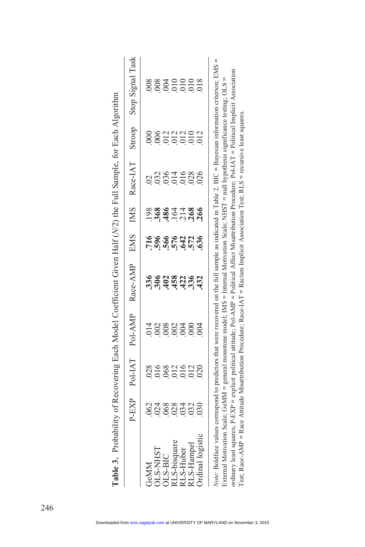| Table 3. Probability of Recovering Each Model Coefficient Given Half (N/2) the Full Sample, for Each Algorithm                                                                                                                                                                                                                                                                                                                                          |                |                   |       |                                                        |                  |                      |                |                       |                                                                                                                                                                            |
|---------------------------------------------------------------------------------------------------------------------------------------------------------------------------------------------------------------------------------------------------------------------------------------------------------------------------------------------------------------------------------------------------------------------------------------------------------|----------------|-------------------|-------|--------------------------------------------------------|------------------|----------------------|----------------|-----------------------|----------------------------------------------------------------------------------------------------------------------------------------------------------------------------|
|                                                                                                                                                                                                                                                                                                                                                                                                                                                         |                |                   |       | P-EXP Pol-IAT Pol-AMP Race-AMP EMS IMS Race-IAT Stroop |                  |                      |                |                       | Stop Signal Task                                                                                                                                                           |
| GeMM                                                                                                                                                                                                                                                                                                                                                                                                                                                    | 062            |                   |       |                                                        |                  |                      |                |                       |                                                                                                                                                                            |
| <b>TS-NHST</b>                                                                                                                                                                                                                                                                                                                                                                                                                                          | $0.024$<br>068 | 8868216<br>000000 | 002   |                                                        |                  | 98864486<br>98864486 | 33614<br>03614 | ,006                  | 88850008<br>8880000                                                                                                                                                        |
| <b>DLS-BIC</b>                                                                                                                                                                                                                                                                                                                                                                                                                                          |                |                   | $008$ |                                                        | 866425<br>866425 |                      |                |                       |                                                                                                                                                                            |
| U.S-bisquare                                                                                                                                                                                                                                                                                                                                                                                                                                            | 028            |                   |       |                                                        |                  |                      |                | 22220<br>2225<br>2010 |                                                                                                                                                                            |
| RLS-Huber                                                                                                                                                                                                                                                                                                                                                                                                                                               | .034           |                   | 004   |                                                        |                  |                      |                |                       |                                                                                                                                                                            |
| RLS-Hannel                                                                                                                                                                                                                                                                                                                                                                                                                                              | 032            | .012              | 000   |                                                        |                  |                      | 028            |                       |                                                                                                                                                                            |
| Ordinal logistic                                                                                                                                                                                                                                                                                                                                                                                                                                        | 030            | 020               | 004   | 432                                                    |                  |                      | 026            | 012                   |                                                                                                                                                                            |
| ordinary least squares; $P-EXP =$ explicit political attitude; $PoI-AMP = Political$ Affect Misattribution Procedure; $PoI-1AT = Political$ Implicit Association<br>External Motivation Scale; GeMM = general monotone model; IMS = Internal Motivation Scale; NHST = null hypothesis significance testing; OLS<br>Test: Race-AMP = Race Attitude Misattribution Procedure: Race-IAT = Racism Implicit Association Test: RLS = recursive least squares. |                |                   |       |                                                        |                  |                      |                |                       | Note: Boldface values correspond to predictors that were recovered on the full sample as indicated in Table 2. BIC = Bavesian information criterion; EMS =<br>$\mathsf{I}$ |

| Ì                        |
|--------------------------|
| ļ                        |
|                          |
|                          |
| ļ                        |
| $\overline{1}$           |
|                          |
| $-7$ $-7$ $-7$ $-7$<br>I |
|                          |
|                          |
| l                        |
|                          |
| š                        |
|                          |
| くっこうこう                   |
|                          |
| $\overline{1}$           |
|                          |
|                          |
|                          |
| ļ                        |
|                          |
| Table 3.                 |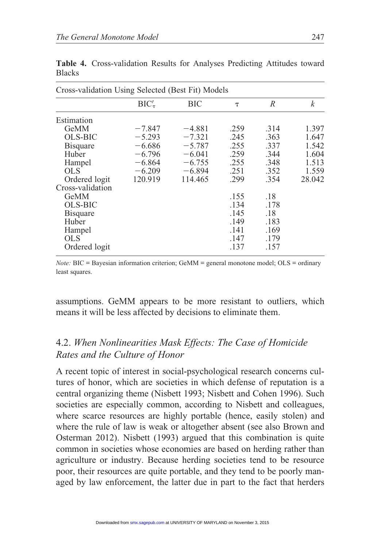| Cross-validation Using Selected (Best Fit) Models |               |          |        |      |                  |
|---------------------------------------------------|---------------|----------|--------|------|------------------|
|                                                   | $BIC'_{\tau}$ | ВIС      | $\tau$ | R    | $\boldsymbol{k}$ |
| Estimation                                        |               |          |        |      |                  |
| GeMM                                              | $-7.847$      | $-4.881$ | .259   | .314 | 1.397            |
| OLS-BIC                                           | $-5.293$      | $-7.321$ | .245   | .363 | 1.647            |
| <b>Bisquare</b>                                   | $-6.686$      | $-5.787$ | .255   | .337 | 1.542            |
| Huber                                             | $-6.796$      | $-6.041$ | .259   | .344 | 1.604            |
| Hampel                                            | $-6.864$      | $-6.755$ | .255   | .348 | 1.513            |
| <b>OLS</b>                                        | $-6.209$      | $-6.894$ | .251   | .352 | 1.559            |
| Ordered logit                                     | 120.919       | 114.465  | .299   | .354 | 28.042           |
| Cross-validation                                  |               |          |        |      |                  |
| GeMM                                              |               |          | .155   | .18  |                  |
| <b>OLS-BIC</b>                                    |               |          | .134   | .178 |                  |
| <b>Bisquare</b>                                   |               |          | .145   | .18  |                  |
| Huber                                             |               |          | .149   | .183 |                  |
| Hampel                                            |               |          | .141   | .169 |                  |
| <b>OLS</b>                                        |               |          | .147   | .179 |                  |
| Ordered logit                                     |               |          | .137   | .157 |                  |

Table 4. Cross-validation Results for Analyses Predicting Attitudes toward **Blacks** 

*Note:*  $BIC =$  Bayesian information criterion;  $GemM =$  general monotone model;  $OLS =$  ordinary least squares.

assumptions. GeMM appears to be more resistant to outliers, which means it will be less affected by decisions to eliminate them.

# 4.2. When Nonlinearities Mask Effects: The Case of Homicide Rates and the Culture of Honor

A recent topic of interest in social-psychological research concerns cultures of honor, which are societies in which defense of reputation is a central organizing theme (Nisbett 1993; Nisbett and Cohen 1996). Such societies are especially common, according to Nisbett and colleagues, where scarce resources are highly portable (hence, easily stolen) and where the rule of law is weak or altogether absent (see also Brown and Osterman 2012). Nisbett (1993) argued that this combination is quite common in societies whose economies are based on herding rather than agriculture or industry. Because herding societies tend to be resource poor, their resources are quite portable, and they tend to be poorly managed by law enforcement, the latter due in part to the fact that herders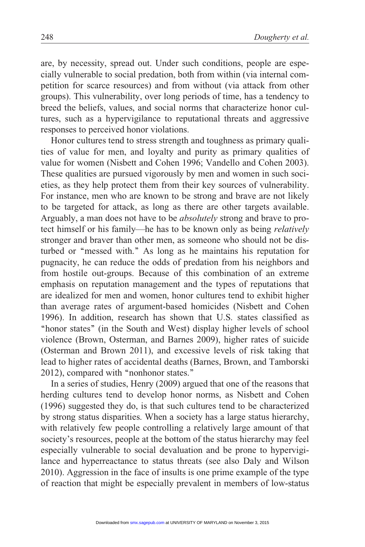are, by necessity, spread out. Under such conditions, people are especially vulnerable to social predation, both from within (via internal competition for scarce resources) and from without (via attack from other groups). This vulnerability, over long periods of time, has a tendency to breed the beliefs, values, and social norms that characterize honor cultures, such as a hypervigilance to reputational threats and aggressive responses to perceived honor violations.

Honor cultures tend to stress strength and toughness as primary qualities of value for men, and loyalty and purity as primary qualities of value for women (Nisbett and Cohen 1996; Vandello and Cohen 2003). These qualities are pursued vigorously by men and women in such societies, as they help protect them from their key sources of vulnerability. For instance, men who are known to be strong and brave are not likely to be targeted for attack, as long as there are other targets available. Arguably, a man does not have to be absolutely strong and brave to protect himself or his family—he has to be known only as being relatively stronger and braver than other men, as someone who should not be disturbed or "messed with." As long as he maintains his reputation for pugnacity, he can reduce the odds of predation from his neighbors and from hostile out-groups. Because of this combination of an extreme emphasis on reputation management and the types of reputations that are idealized for men and women, honor cultures tend to exhibit higher than average rates of argument-based homicides (Nisbett and Cohen 1996). In addition, research has shown that U.S. states classified as ''honor states'' (in the South and West) display higher levels of school violence (Brown, Osterman, and Barnes 2009), higher rates of suicide (Osterman and Brown 2011), and excessive levels of risk taking that lead to higher rates of accidental deaths (Barnes, Brown, and Tamborski 2012), compared with ''nonhonor states.''

In a series of studies, Henry (2009) argued that one of the reasons that herding cultures tend to develop honor norms, as Nisbett and Cohen (1996) suggested they do, is that such cultures tend to be characterized by strong status disparities. When a society has a large status hierarchy, with relatively few people controlling a relatively large amount of that society's resources, people at the bottom of the status hierarchy may feel especially vulnerable to social devaluation and be prone to hypervigilance and hyperreactance to status threats (see also Daly and Wilson 2010). Aggression in the face of insults is one prime example of the type of reaction that might be especially prevalent in members of low-status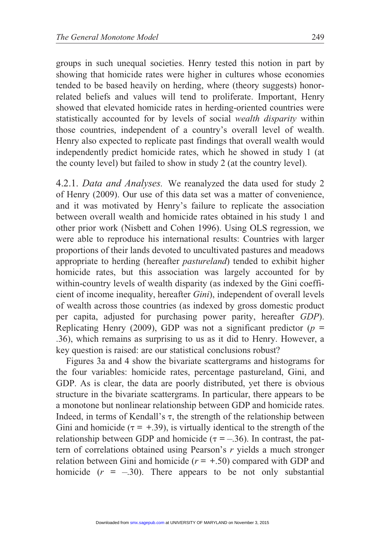groups in such unequal societies. Henry tested this notion in part by showing that homicide rates were higher in cultures whose economies tended to be based heavily on herding, where (theory suggests) honorrelated beliefs and values will tend to proliferate. Important, Henry showed that elevated homicide rates in herding-oriented countries were statistically accounted for by levels of social wealth disparity within those countries, independent of a country's overall level of wealth. Henry also expected to replicate past findings that overall wealth would independently predict homicide rates, which he showed in study 1 (at the county level) but failed to show in study 2 (at the country level).

4.2.1. Data and Analyses. We reanalyzed the data used for study 2 of Henry (2009). Our use of this data set was a matter of convenience, and it was motivated by Henry's failure to replicate the association between overall wealth and homicide rates obtained in his study 1 and other prior work (Nisbett and Cohen 1996). Using OLS regression, we were able to reproduce his international results: Countries with larger proportions of their lands devoted to uncultivated pastures and meadows appropriate to herding (hereafter pastureland) tended to exhibit higher homicide rates, but this association was largely accounted for by within-country levels of wealth disparity (as indexed by the Gini coefficient of income inequality, hereafter Gini), independent of overall levels of wealth across those countries (as indexed by gross domestic product per capita, adjusted for purchasing power parity, hereafter GDP). Replicating Henry (2009), GDP was not a significant predictor ( $p =$ .36), which remains as surprising to us as it did to Henry. However, a key question is raised: are our statistical conclusions robust?

Figures 3a and 4 show the bivariate scattergrams and histograms for the four variables: homicide rates, percentage pastureland, Gini, and GDP. As is clear, the data are poorly distributed, yet there is obvious structure in the bivariate scattergrams. In particular, there appears to be a monotone but nonlinear relationship between GDP and homicide rates. Indeed, in terms of Kendall's  $\tau$ , the strength of the relationship between Gini and homicide ( $\tau = +0.39$ ), is virtually identical to the strength of the relationship between GDP and homicide ( $\tau = -.36$ ). In contrast, the pattern of correlations obtained using Pearson's  $r$  yields a much stronger relation between Gini and homicide  $(r = +.50)$  compared with GDP and homicide  $(r = -.30)$ . There appears to be not only substantial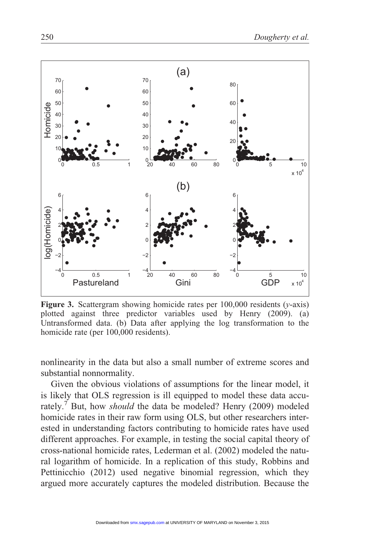

Figure 3. Scattergram showing homicide rates per  $100,000$  residents ( $v$ -axis) plotted against three predictor variables used by Henry (2009). (a) Untransformed data. (b) Data after applying the log transformation to the homicide rate (per 100,000 residents).

nonlinearity in the data but also a small number of extreme scores and substantial nonnormality.

Given the obvious violations of assumptions for the linear model, it is likely that OLS regression is ill equipped to model these data accurately.<sup>7</sup> But, how *should* the data be modeled? Henry (2009) modeled homicide rates in their raw form using OLS, but other researchers interested in understanding factors contributing to homicide rates have used different approaches. For example, in testing the social capital theory of cross-national homicide rates, Lederman et al. (2002) modeled the natural logarithm of homicide. In a replication of this study, Robbins and Pettinicchio (2012) used negative binomial regression, which they argued more accurately captures the modeled distribution. Because the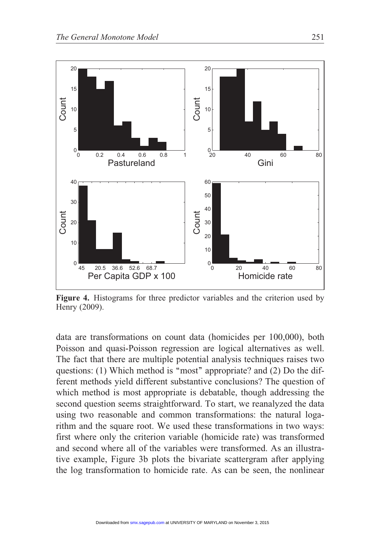

Figure 4. Histograms for three predictor variables and the criterion used by Henry (2009).

data are transformations on count data (homicides per 100,000), both Poisson and quasi-Poisson regression are logical alternatives as well. The fact that there are multiple potential analysis techniques raises two questions: (1) Which method is "most" appropriate? and (2) Do the different methods yield different substantive conclusions? The question of which method is most appropriate is debatable, though addressing the second question seems straightforward. To start, we reanalyzed the data using two reasonable and common transformations: the natural logarithm and the square root. We used these transformations in two ways: first where only the criterion variable (homicide rate) was transformed and second where all of the variables were transformed. As an illustrative example, Figure 3b plots the bivariate scattergram after applying the log transformation to homicide rate. As can be seen, the nonlinear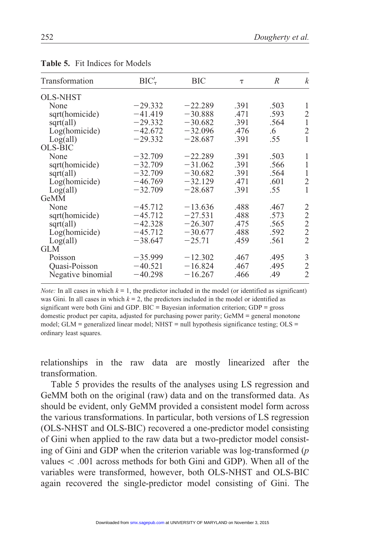| Transformation    | $BIC'_{\tau}$ | <b>BIC</b> | $\tau$ | R    | $\boldsymbol{k}$ |
|-------------------|---------------|------------|--------|------|------------------|
| <b>OLS-NHST</b>   |               |            |        |      |                  |
| None              | $-29.332$     | $-22.289$  | .391   | .503 | 1                |
| sqrt(homicide)    | $-41.419$     | $-30.888$  | .471   | .593 | $\overline{c}$   |
| sqrt(all)         | $-29.332$     | $-30.682$  | .391   | .564 | $\,1\,$          |
| Log(homicide)     | $-42.672$     | $-32.096$  | .476   | .6   | $\overline{c}$   |
| Log(all)          | $-29.332$     | $-28.687$  | .391   | .55  | $\mathbf{1}$     |
| <b>OLS-BIC</b>    |               |            |        |      |                  |
| None              | $-32.709$     | $-22.289$  | .391   | .503 | 1                |
| sqrt(homicide)    | $-32.709$     | $-31.062$  | .391   | .566 | $\mathbf{1}$     |
| sqrt(all)         | $-32.709$     | $-30.682$  | .391   | .564 | $\mathbf{1}$     |
| Log(homicide)     | $-46.769$     | $-32.129$  | .471   | .601 | $\overline{c}$   |
| Log(all)          | $-32.709$     | $-28.687$  | .391   | .55  | $\mathbf{1}$     |
| GeMM              |               |            |        |      |                  |
| None              | $-45.712$     | $-13.636$  | .488   | .467 | 2                |
| sqrt(homicide)    | $-45.712$     | $-27.531$  | .488   | .573 | $\sqrt{2}$       |
| sqrt(all)         | $-42.328$     | $-26.307$  | .475   | .565 | $\overline{c}$   |
| Log(homicide)     | $-45.712$     | $-30.677$  | .488   | .592 | $\overline{2}$   |
| Log(all)          | $-38.647$     | $-25.71$   | .459   | .561 | $\overline{2}$   |
| <b>GLM</b>        |               |            |        |      |                  |
| Poisson           | $-35.999$     | $-12.302$  | .467   | .495 | 3                |
| Quasi-Poisson     | $-40.521$     | $-16.824$  | .467   | .495 | $\overline{c}$   |
| Negative binomial | $-40.298$     | $-16.267$  | .466   | .49  | $\overline{2}$   |

Table 5. Fit Indices for Models

*Note:* In all cases in which  $k = 1$ , the predictor included in the model (or identified as significant) was Gini. In all cases in which  $k = 2$ , the predictors included in the model or identified as significant were both Gini and GDP. BIC = Bayesian information criterion; GDP = gross domestic product per capita, adjusted for purchasing power parity; GeMM = general monotone model;  $GLM$  = generalized linear model;  $NHST$  = null hypothesis significance testing;  $OLS$  = ordinary least squares.

relationships in the raw data are mostly linearized after the transformation.

Table 5 provides the results of the analyses using LS regression and GeMM both on the original (raw) data and on the transformed data. As should be evident, only GeMM provided a consistent model form across the various transformations. In particular, both versions of LS regression (OLS-NHST and OLS-BIC) recovered a one-predictor model consisting of Gini when applied to the raw data but a two-predictor model consisting of Gini and GDP when the criterion variable was log-transformed  $(p)$ values  $\lt$  0.01 across methods for both Gini and GDP). When all of the variables were transformed, however, both OLS-NHST and OLS-BIC again recovered the single-predictor model consisting of Gini. The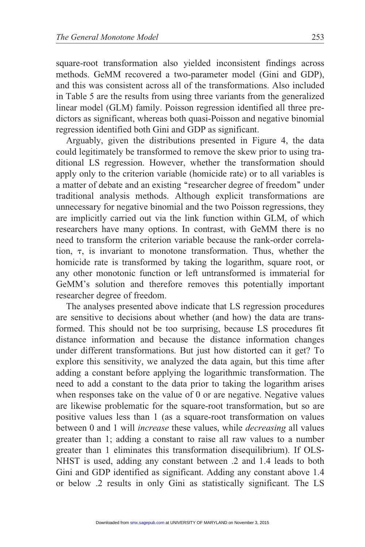square-root transformation also yielded inconsistent findings across methods. GeMM recovered a two-parameter model (Gini and GDP), and this was consistent across all of the transformations. Also included in Table 5 are the results from using three variants from the generalized linear model (GLM) family. Poisson regression identified all three predictors as significant, whereas both quasi-Poisson and negative binomial regression identified both Gini and GDP as significant.

Arguably, given the distributions presented in Figure 4, the data could legitimately be transformed to remove the skew prior to using traditional LS regression. However, whether the transformation should apply only to the criterion variable (homicide rate) or to all variables is a matter of debate and an existing ''researcher degree of freedom'' under traditional analysis methods. Although explicit transformations are unnecessary for negative binomial and the two Poisson regressions, they are implicitly carried out via the link function within GLM, of which researchers have many options. In contrast, with GeMM there is no need to transform the criterion variable because the rank-order correlation,  $\tau$ , is invariant to monotone transformation. Thus, whether the homicide rate is transformed by taking the logarithm, square root, or any other monotonic function or left untransformed is immaterial for GeMM's solution and therefore removes this potentially important researcher degree of freedom.

The analyses presented above indicate that LS regression procedures are sensitive to decisions about whether (and how) the data are transformed. This should not be too surprising, because LS procedures fit distance information and because the distance information changes under different transformations. But just how distorted can it get? To explore this sensitivity, we analyzed the data again, but this time after adding a constant before applying the logarithmic transformation. The need to add a constant to the data prior to taking the logarithm arises when responses take on the value of 0 or are negative. Negative values are likewise problematic for the square-root transformation, but so are positive values less than 1 (as a square-root transformation on values between 0 and 1 will increase these values, while decreasing all values greater than 1; adding a constant to raise all raw values to a number greater than 1 eliminates this transformation disequilibrium). If OLS-NHST is used, adding any constant between .2 and 1.4 leads to both Gini and GDP identified as significant. Adding any constant above 1.4 or below .2 results in only Gini as statistically significant. The LS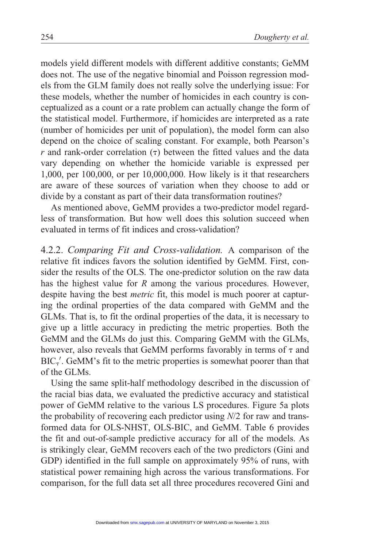models yield different models with different additive constants; GeMM does not. The use of the negative binomial and Poisson regression models from the GLM family does not really solve the underlying issue: For these models, whether the number of homicides in each country is conceptualized as a count or a rate problem can actually change the form of the statistical model. Furthermore, if homicides are interpreted as a rate (number of homicides per unit of population), the model form can also depend on the choice of scaling constant. For example, both Pearson's  $r$  and rank-order correlation  $(τ)$  between the fitted values and the data vary depending on whether the homicide variable is expressed per 1,000, per 100,000, or per 10,000,000. How likely is it that researchers are aware of these sources of variation when they choose to add or divide by a constant as part of their data transformation routines?

As mentioned above, GeMM provides a two-predictor model regardless of transformation. But how well does this solution succeed when evaluated in terms of fit indices and cross-validation?

4.2.2. Comparing Fit and Cross-validation. A comparison of the relative fit indices favors the solution identified by GeMM. First, consider the results of the OLS. The one-predictor solution on the raw data has the highest value for R among the various procedures. However, despite having the best metric fit, this model is much poorer at capturing the ordinal properties of the data compared with GeMM and the GLMs. That is, to fit the ordinal properties of the data, it is necessary to give up a little accuracy in predicting the metric properties. Both the GeMM and the GLMs do just this. Comparing GeMM with the GLMs, however, also reveals that GeMM performs favorably in terms of  $\tau$  and  $BIC_{\tau}$ . GeMM's fit to the metric properties is somewhat poorer than that of the GLMs.

Using the same split-half methodology described in the discussion of the racial bias data, we evaluated the predictive accuracy and statistical power of GeMM relative to the various LS procedures. Figure 5a plots the probability of recovering each predictor using N/2 for raw and transformed data for OLS-NHST, OLS-BIC, and GeMM. Table 6 provides the fit and out-of-sample predictive accuracy for all of the models. As is strikingly clear, GeMM recovers each of the two predictors (Gini and GDP) identified in the full sample on approximately 95% of runs, with statistical power remaining high across the various transformations. For comparison, for the full data set all three procedures recovered Gini and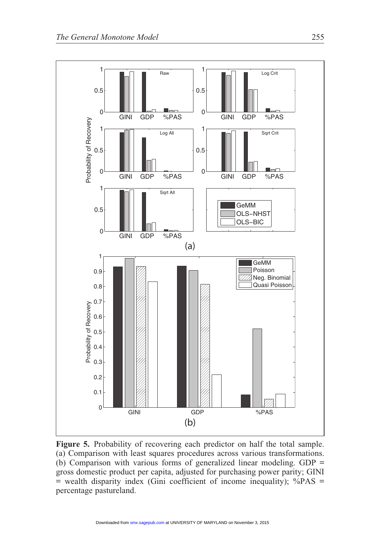

Figure 5. Probability of recovering each predictor on half the total sample. (a) Comparison with least squares procedures across various transformations. (b) Comparison with various forms of generalized linear modeling. GDP = gross domestic product per capita, adjusted for purchasing power parity; GINI = wealth disparity index (Gini coefficient of income inequality); %PAS = percentage pastureland.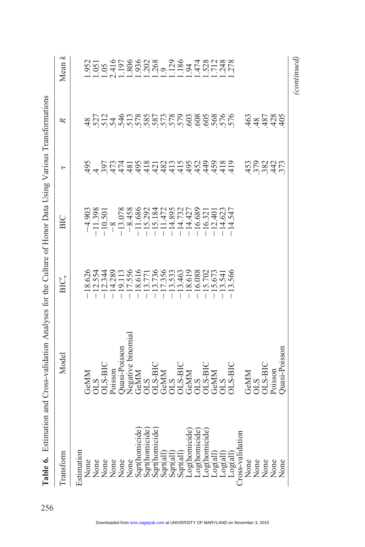|                                                                                                                                  | Table 6. Estimation and Cross-validation Analyses for the Culture of Honor Data Using Various Transformations                 |                                                                                                                                                                                                                                                                                                                        |                                                                                                                                                                                                                                                                                                                       |                               |                                                    |                                                                                                          |
|----------------------------------------------------------------------------------------------------------------------------------|-------------------------------------------------------------------------------------------------------------------------------|------------------------------------------------------------------------------------------------------------------------------------------------------------------------------------------------------------------------------------------------------------------------------------------------------------------------|-----------------------------------------------------------------------------------------------------------------------------------------------------------------------------------------------------------------------------------------------------------------------------------------------------------------------|-------------------------------|----------------------------------------------------|----------------------------------------------------------------------------------------------------------|
| Transform                                                                                                                        | Model                                                                                                                         | $BIC^r$                                                                                                                                                                                                                                                                                                                | ВIС                                                                                                                                                                                                                                                                                                                   | ь                             | R                                                  | Mean $k$                                                                                                 |
| Estimation                                                                                                                       |                                                                                                                               |                                                                                                                                                                                                                                                                                                                        |                                                                                                                                                                                                                                                                                                                       |                               |                                                    |                                                                                                          |
|                                                                                                                                  |                                                                                                                               |                                                                                                                                                                                                                                                                                                                        |                                                                                                                                                                                                                                                                                                                       |                               |                                                    |                                                                                                          |
|                                                                                                                                  |                                                                                                                               |                                                                                                                                                                                                                                                                                                                        |                                                                                                                                                                                                                                                                                                                       |                               |                                                    |                                                                                                          |
| None<br>None<br>None<br>None<br>None<br>None                                                                                     | GeMM<br>OLS<br>OLS-BIC<br>Poisson                                                                                             | $\begin{array}{r} -18.626 \\ -12.534 \\ -11.336 \\ -11.536 \\ -11.536 \\ -11.536 \\ -11.536 \\ -11.536 \\ -11.536 \\ -11.536 \\ -11.536 \\ -11.536 \\ -11.536 \\ -11.536 \\ -11.536 \\ -11.536 \\ -11.536 \\ -11.536 \\ -11.536 \\ -11.536 \\ -11.536 \\ -11.536 \\ -11.536 \\ -11.536 \\ -11.536 \\ -11.536 \\ -11.5$ | $\begin{array}{r} 14.903 \\ -11.398 \\ -11.688 \\ -11.688 \\ -11.688 \\ -11.688 \\ -11.689 \\ -11.689 \\ -11.689 \\ -11.472 \\ -11.473 \\ -11.473 \\ -11.473 \\ -11.473 \\ -11.473 \\ -11.473 \\ -11.473 \\ -11.473 \\ -11.473 \\ -11.473 \\ -11.473 \\ -11.473 \\ -11.473 \\ -11.473 \\ -11.473 \\ -11.473 \\ -11.4$ |                               |                                                    | 2011 0500000 00 1001000<br>05011000000 00015011010<br>0001100000 0001501101000<br>00011000000 0001101101 |
|                                                                                                                                  |                                                                                                                               |                                                                                                                                                                                                                                                                                                                        |                                                                                                                                                                                                                                                                                                                       |                               |                                                    |                                                                                                          |
|                                                                                                                                  |                                                                                                                               |                                                                                                                                                                                                                                                                                                                        |                                                                                                                                                                                                                                                                                                                       |                               |                                                    |                                                                                                          |
|                                                                                                                                  |                                                                                                                               |                                                                                                                                                                                                                                                                                                                        |                                                                                                                                                                                                                                                                                                                       |                               |                                                    |                                                                                                          |
| Sqrt(homicide                                                                                                                    |                                                                                                                               |                                                                                                                                                                                                                                                                                                                        |                                                                                                                                                                                                                                                                                                                       |                               |                                                    |                                                                                                          |
| Sqrt(homicide                                                                                                                    |                                                                                                                               |                                                                                                                                                                                                                                                                                                                        |                                                                                                                                                                                                                                                                                                                       |                               |                                                    |                                                                                                          |
| Sqrt(homicide                                                                                                                    |                                                                                                                               |                                                                                                                                                                                                                                                                                                                        |                                                                                                                                                                                                                                                                                                                       |                               |                                                    |                                                                                                          |
| Sqrt(all)                                                                                                                        |                                                                                                                               |                                                                                                                                                                                                                                                                                                                        |                                                                                                                                                                                                                                                                                                                       |                               |                                                    |                                                                                                          |
|                                                                                                                                  |                                                                                                                               |                                                                                                                                                                                                                                                                                                                        |                                                                                                                                                                                                                                                                                                                       |                               |                                                    |                                                                                                          |
| $\begin{array}{l} \text{Sgrt}(\text{all})\\ \text{Sgrt}(\text{all})\\ \text{Log(homicide)}\\ \text{Log(homicide)}\\ \end{array}$ |                                                                                                                               |                                                                                                                                                                                                                                                                                                                        |                                                                                                                                                                                                                                                                                                                       |                               |                                                    |                                                                                                          |
|                                                                                                                                  |                                                                                                                               |                                                                                                                                                                                                                                                                                                                        |                                                                                                                                                                                                                                                                                                                       |                               |                                                    |                                                                                                          |
|                                                                                                                                  |                                                                                                                               |                                                                                                                                                                                                                                                                                                                        |                                                                                                                                                                                                                                                                                                                       |                               |                                                    |                                                                                                          |
|                                                                                                                                  |                                                                                                                               |                                                                                                                                                                                                                                                                                                                        |                                                                                                                                                                                                                                                                                                                       |                               |                                                    |                                                                                                          |
|                                                                                                                                  |                                                                                                                               |                                                                                                                                                                                                                                                                                                                        |                                                                                                                                                                                                                                                                                                                       |                               |                                                    |                                                                                                          |
|                                                                                                                                  |                                                                                                                               |                                                                                                                                                                                                                                                                                                                        |                                                                                                                                                                                                                                                                                                                       |                               |                                                    |                                                                                                          |
| Log(homicide)<br>Log(all)<br>Log(all)<br>Log(all)<br>Cross-validation                                                            | Quasi-Poisson<br>Negative binomial<br>GeMM<br>OLS DUS-BIC<br>COLS OLS DUS<br>OLS DUS-BIC<br>OLS DUS-BIC<br>OLS-BIC<br>OLS-BIC |                                                                                                                                                                                                                                                                                                                        |                                                                                                                                                                                                                                                                                                                       |                               | 3271 360207080008080606<br>3071 360207080708080806 |                                                                                                          |
|                                                                                                                                  |                                                                                                                               |                                                                                                                                                                                                                                                                                                                        |                                                                                                                                                                                                                                                                                                                       |                               |                                                    |                                                                                                          |
|                                                                                                                                  |                                                                                                                               |                                                                                                                                                                                                                                                                                                                        |                                                                                                                                                                                                                                                                                                                       |                               |                                                    |                                                                                                          |
|                                                                                                                                  |                                                                                                                               |                                                                                                                                                                                                                                                                                                                        |                                                                                                                                                                                                                                                                                                                       |                               |                                                    |                                                                                                          |
| None<br>None<br>None<br>None<br>None                                                                                             | GeMM<br>OLS<br>OLS-BIC<br>Poisson<br>Poisson                                                                                  |                                                                                                                                                                                                                                                                                                                        |                                                                                                                                                                                                                                                                                                                       | a i i i i i i i<br>2003 di Li | $38780$<br>$44440$                                 |                                                                                                          |
|                                                                                                                                  |                                                                                                                               |                                                                                                                                                                                                                                                                                                                        |                                                                                                                                                                                                                                                                                                                       |                               |                                                    |                                                                                                          |
|                                                                                                                                  | Quasi-Poisson                                                                                                                 |                                                                                                                                                                                                                                                                                                                        |                                                                                                                                                                                                                                                                                                                       |                               |                                                    |                                                                                                          |
|                                                                                                                                  |                                                                                                                               |                                                                                                                                                                                                                                                                                                                        |                                                                                                                                                                                                                                                                                                                       |                               |                                                    | <i>(continued)</i>                                                                                       |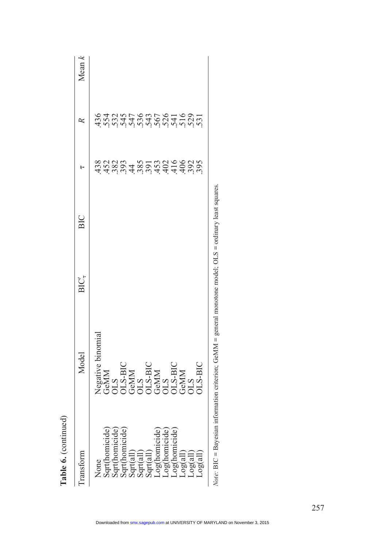| a n'n'n'n'n'n'n'n'n'n'<br>Sa sa sa sa sa sa sa sa si<br>Sa sa sa sa sa sa sa sa s<br>a dan 4 mai 4 4 4 9 0 0 0<br>5 9 0 0 1 - 0 0 1 0 0 0 0 0 0<br>8 0 0 0 1 0 0 0 0 0 0 0 0<br><b><i>Seative b</i></b><br>SEMM<br>GEMAN BIC<br>COLS BIC<br>COLS BIC<br>COLS BIC<br>COLS BIC<br>COLS BIC<br>og(all<br>Log(all<br>Log(all<br>log <sub>c</sub><br>180<br>None<br>$-99$ | ransform | Model | $BIC^{\prime}_{\tau}$ | <b>BIC</b> | ŀ | ≈ | $\lambda$ ean $k$ |
|----------------------------------------------------------------------------------------------------------------------------------------------------------------------------------------------------------------------------------------------------------------------------------------------------------------------------------------------------------------------|----------|-------|-----------------------|------------|---|---|-------------------|
|                                                                                                                                                                                                                                                                                                                                                                      |          |       |                       |            |   |   |                   |
|                                                                                                                                                                                                                                                                                                                                                                      |          |       |                       |            |   |   |                   |
|                                                                                                                                                                                                                                                                                                                                                                      |          |       |                       |            |   |   |                   |
|                                                                                                                                                                                                                                                                                                                                                                      |          |       |                       |            |   |   |                   |
|                                                                                                                                                                                                                                                                                                                                                                      |          |       |                       |            |   |   |                   |
|                                                                                                                                                                                                                                                                                                                                                                      |          |       |                       |            |   |   |                   |
|                                                                                                                                                                                                                                                                                                                                                                      |          |       |                       |            |   |   |                   |
|                                                                                                                                                                                                                                                                                                                                                                      |          |       |                       |            |   |   |                   |
|                                                                                                                                                                                                                                                                                                                                                                      |          |       |                       |            |   |   |                   |
|                                                                                                                                                                                                                                                                                                                                                                      |          |       |                       |            |   |   |                   |
|                                                                                                                                                                                                                                                                                                                                                                      |          |       |                       |            |   |   |                   |
|                                                                                                                                                                                                                                                                                                                                                                      |          |       |                       |            |   |   |                   |
|                                                                                                                                                                                                                                                                                                                                                                      |          |       |                       |            |   |   |                   |
|                                                                                                                                                                                                                                                                                                                                                                      |          |       |                       |            |   |   |                   |
|                                                                                                                                                                                                                                                                                                                                                                      |          |       |                       |            |   |   |                   |
|                                                                                                                                                                                                                                                                                                                                                                      |          |       |                       |            |   |   |                   |
|                                                                                                                                                                                                                                                                                                                                                                      |          |       |                       |            |   |   |                   |
|                                                                                                                                                                                                                                                                                                                                                                      |          |       |                       |            |   |   |                   |

Table 6. (continued)

Table 6. (continued)

Note: BIC = Bayesian information criterion; GeMM = general monotone model; OLS = ordinary least squares. Note: BIC = Bayesian information criterion; GeMM = general monotone model; OLS = ordinary least squares.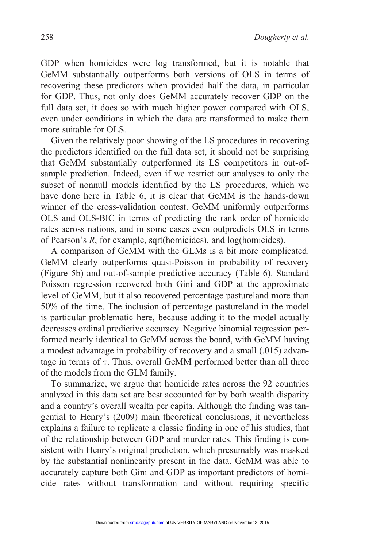GDP when homicides were log transformed, but it is notable that GeMM substantially outperforms both versions of OLS in terms of recovering these predictors when provided half the data, in particular for GDP. Thus, not only does GeMM accurately recover GDP on the full data set, it does so with much higher power compared with OLS, even under conditions in which the data are transformed to make them more suitable for OLS.

Given the relatively poor showing of the LS procedures in recovering the predictors identified on the full data set, it should not be surprising that GeMM substantially outperformed its LS competitors in out-ofsample prediction. Indeed, even if we restrict our analyses to only the subset of nonnull models identified by the LS procedures, which we have done here in Table 6, it is clear that GeMM is the hands-down winner of the cross-validation contest. GeMM uniformly outperforms OLS and OLS-BIC in terms of predicting the rank order of homicide rates across nations, and in some cases even outpredicts OLS in terms of Pearson's R, for example, sqrt(homicides), and log(homicides).

A comparison of GeMM with the GLMs is a bit more complicated. GeMM clearly outperforms quasi-Poisson in probability of recovery (Figure 5b) and out-of-sample predictive accuracy (Table 6). Standard Poisson regression recovered both Gini and GDP at the approximate level of GeMM, but it also recovered percentage pastureland more than 50% of the time. The inclusion of percentage pastureland in the model is particular problematic here, because adding it to the model actually decreases ordinal predictive accuracy. Negative binomial regression performed nearly identical to GeMM across the board, with GeMM having a modest advantage in probability of recovery and a small (.015) advantage in terms of  $\tau$ . Thus, overall GeMM performed better than all three of the models from the GLM family.

To summarize, we argue that homicide rates across the 92 countries analyzed in this data set are best accounted for by both wealth disparity and a country's overall wealth per capita. Although the finding was tangential to Henry's (2009) main theoretical conclusions, it nevertheless explains a failure to replicate a classic finding in one of his studies, that of the relationship between GDP and murder rates. This finding is consistent with Henry's original prediction, which presumably was masked by the substantial nonlinearity present in the data. GeMM was able to accurately capture both Gini and GDP as important predictors of homicide rates without transformation and without requiring specific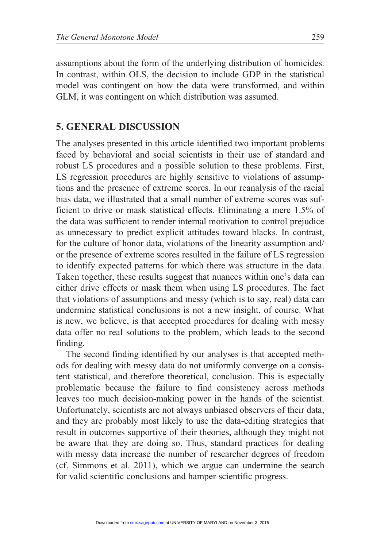assumptions about the form of the underlying distribution of homicides. In contrast, within OLS, the decision to include GDP in the statistical model was contingent on how the data were transformed, and within GLM, it was contingent on which distribution was assumed.

### 5. GENERAL DISCUSSION

The analyses presented in this article identified two important problems faced by behavioral and social scientists in their use of standard and robust LS procedures and a possible solution to these problems. First, LS regression procedures are highly sensitive to violations of assumptions and the presence of extreme scores. In our reanalysis of the racial bias data, we illustrated that a small number of extreme scores was sufficient to drive or mask statistical effects. Eliminating a mere 1.5% of the data was sufficient to render internal motivation to control prejudice as unnecessary to predict explicit attitudes toward blacks. In contrast, for the culture of honor data, violations of the linearity assumption and/ or the presence of extreme scores resulted in the failure of LS regression to identify expected patterns for which there was structure in the data. Taken together, these results suggest that nuances within one's data can either drive effects or mask them when using LS procedures. The fact that violations of assumptions and messy (which is to say, real) data can undermine statistical conclusions is not a new insight, of course. What is new, we believe, is that accepted procedures for dealing with messy data offer no real solutions to the problem, which leads to the second finding.

The second finding identified by our analyses is that accepted methods for dealing with messy data do not uniformly converge on a consistent statistical, and therefore theoretical, conclusion. This is especially problematic because the failure to find consistency across methods leaves too much decision-making power in the hands of the scientist. Unfortunately, scientists are not always unbiased observers of their data, and they are probably most likely to use the data-editing strategies that result in outcomes supportive of their theories, although they might not be aware that they are doing so. Thus, standard practices for dealing with messy data increase the number of researcher degrees of freedom (cf. Simmons et al. 2011), which we argue can undermine the search for valid scientific conclusions and hamper scientific progress.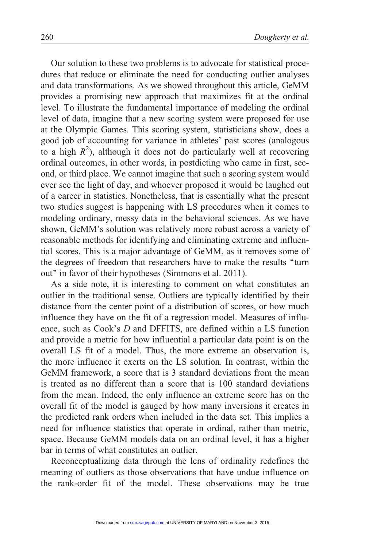Our solution to these two problems is to advocate for statistical procedures that reduce or eliminate the need for conducting outlier analyses and data transformations. As we showed throughout this article, GeMM provides a promising new approach that maximizes fit at the ordinal level. To illustrate the fundamental importance of modeling the ordinal level of data, imagine that a new scoring system were proposed for use at the Olympic Games. This scoring system, statisticians show, does a good job of accounting for variance in athletes' past scores (analogous to a high  $R^2$ ), although it does not do particularly well at recovering ordinal outcomes, in other words, in postdicting who came in first, second, or third place. We cannot imagine that such a scoring system would ever see the light of day, and whoever proposed it would be laughed out of a career in statistics. Nonetheless, that is essentially what the present two studies suggest is happening with LS procedures when it comes to modeling ordinary, messy data in the behavioral sciences. As we have shown, GeMM's solution was relatively more robust across a variety of reasonable methods for identifying and eliminating extreme and influential scores. This is a major advantage of GeMM, as it removes some of the degrees of freedom that researchers have to make the results ''turn out'' in favor of their hypotheses (Simmons et al. 2011).

As a side note, it is interesting to comment on what constitutes an outlier in the traditional sense. Outliers are typically identified by their distance from the center point of a distribution of scores, or how much influence they have on the fit of a regression model. Measures of influence, such as Cook's D and DFFITS, are defined within a LS function and provide a metric for how influential a particular data point is on the overall LS fit of a model. Thus, the more extreme an observation is, the more influence it exerts on the LS solution. In contrast, within the GeMM framework, a score that is 3 standard deviations from the mean is treated as no different than a score that is 100 standard deviations from the mean. Indeed, the only influence an extreme score has on the overall fit of the model is gauged by how many inversions it creates in the predicted rank orders when included in the data set. This implies a need for influence statistics that operate in ordinal, rather than metric, space. Because GeMM models data on an ordinal level, it has a higher bar in terms of what constitutes an outlier.

Reconceptualizing data through the lens of ordinality redefines the meaning of outliers as those observations that have undue influence on the rank-order fit of the model. These observations may be true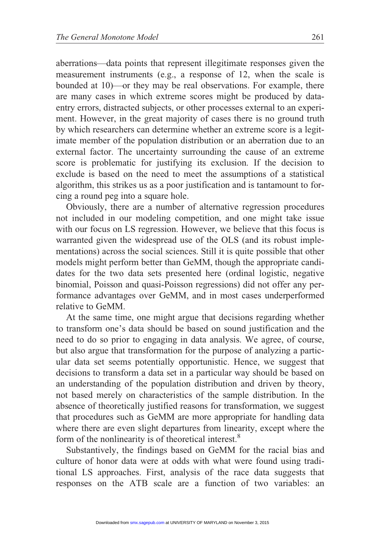aberrations—data points that represent illegitimate responses given the measurement instruments (e.g., a response of 12, when the scale is bounded at 10)—or they may be real observations. For example, there are many cases in which extreme scores might be produced by dataentry errors, distracted subjects, or other processes external to an experiment. However, in the great majority of cases there is no ground truth by which researchers can determine whether an extreme score is a legitimate member of the population distribution or an aberration due to an external factor. The uncertainty surrounding the cause of an extreme score is problematic for justifying its exclusion. If the decision to exclude is based on the need to meet the assumptions of a statistical algorithm, this strikes us as a poor justification and is tantamount to forcing a round peg into a square hole.

Obviously, there are a number of alternative regression procedures not included in our modeling competition, and one might take issue with our focus on LS regression. However, we believe that this focus is warranted given the widespread use of the OLS (and its robust implementations) across the social sciences. Still it is quite possible that other models might perform better than GeMM, though the appropriate candidates for the two data sets presented here (ordinal logistic, negative binomial, Poisson and quasi-Poisson regressions) did not offer any performance advantages over GeMM, and in most cases underperformed relative to GeMM.

At the same time, one might argue that decisions regarding whether to transform one's data should be based on sound justification and the need to do so prior to engaging in data analysis. We agree, of course, but also argue that transformation for the purpose of analyzing a particular data set seems potentially opportunistic. Hence, we suggest that decisions to transform a data set in a particular way should be based on an understanding of the population distribution and driven by theory, not based merely on characteristics of the sample distribution. In the absence of theoretically justified reasons for transformation, we suggest that procedures such as GeMM are more appropriate for handling data where there are even slight departures from linearity, except where the form of the nonlinearity is of theoretical interest.<sup>8</sup>

Substantively, the findings based on GeMM for the racial bias and culture of honor data were at odds with what were found using traditional LS approaches. First, analysis of the race data suggests that responses on the ATB scale are a function of two variables: an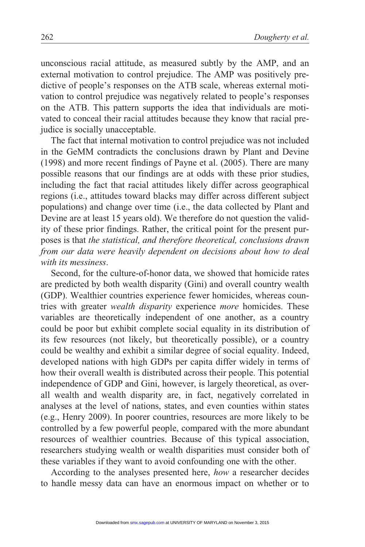unconscious racial attitude, as measured subtly by the AMP, and an external motivation to control prejudice. The AMP was positively predictive of people's responses on the ATB scale, whereas external motivation to control prejudice was negatively related to people's responses on the ATB. This pattern supports the idea that individuals are motivated to conceal their racial attitudes because they know that racial prejudice is socially unacceptable.

The fact that internal motivation to control prejudice was not included in the GeMM contradicts the conclusions drawn by Plant and Devine (1998) and more recent findings of Payne et al. (2005). There are many possible reasons that our findings are at odds with these prior studies, including the fact that racial attitudes likely differ across geographical regions (i.e., attitudes toward blacks may differ across different subject populations) and change over time (i.e., the data collected by Plant and Devine are at least 15 years old). We therefore do not question the validity of these prior findings. Rather, the critical point for the present purposes is that the statistical, and therefore theoretical, conclusions drawn from our data were heavily dependent on decisions about how to deal with its messiness.

Second, for the culture-of-honor data, we showed that homicide rates are predicted by both wealth disparity (Gini) and overall country wealth (GDP). Wealthier countries experience fewer homicides, whereas countries with greater *wealth disparity* experience *more* homicides. These variables are theoretically independent of one another, as a country could be poor but exhibit complete social equality in its distribution of its few resources (not likely, but theoretically possible), or a country could be wealthy and exhibit a similar degree of social equality. Indeed, developed nations with high GDPs per capita differ widely in terms of how their overall wealth is distributed across their people. This potential independence of GDP and Gini, however, is largely theoretical, as overall wealth and wealth disparity are, in fact, negatively correlated in analyses at the level of nations, states, and even counties within states (e.g., Henry 2009). In poorer countries, resources are more likely to be controlled by a few powerful people, compared with the more abundant resources of wealthier countries. Because of this typical association, researchers studying wealth or wealth disparities must consider both of these variables if they want to avoid confounding one with the other.

According to the analyses presented here, how a researcher decides to handle messy data can have an enormous impact on whether or to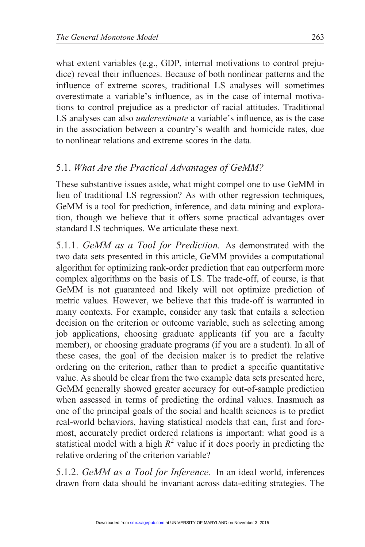what extent variables (e.g., GDP, internal motivations to control prejudice) reveal their influences. Because of both nonlinear patterns and the influence of extreme scores, traditional LS analyses will sometimes overestimate a variable's influence, as in the case of internal motivations to control prejudice as a predictor of racial attitudes. Traditional LS analyses can also *underestimate* a variable's influence, as is the case in the association between a country's wealth and homicide rates, due to nonlinear relations and extreme scores in the data.

# 5.1. What Are the Practical Advantages of GeMM?

These substantive issues aside, what might compel one to use GeMM in lieu of traditional LS regression? As with other regression techniques, GeMM is a tool for prediction, inference, and data mining and exploration, though we believe that it offers some practical advantages over standard LS techniques. We articulate these next.

5.1.1. GeMM as a Tool for Prediction. As demonstrated with the two data sets presented in this article, GeMM provides a computational algorithm for optimizing rank-order prediction that can outperform more complex algorithms on the basis of LS. The trade-off, of course, is that GeMM is not guaranteed and likely will not optimize prediction of metric values. However, we believe that this trade-off is warranted in many contexts. For example, consider any task that entails a selection decision on the criterion or outcome variable, such as selecting among job applications, choosing graduate applicants (if you are a faculty member), or choosing graduate programs (if you are a student). In all of these cases, the goal of the decision maker is to predict the relative ordering on the criterion, rather than to predict a specific quantitative value. As should be clear from the two example data sets presented here, GeMM generally showed greater accuracy for out-of-sample prediction when assessed in terms of predicting the ordinal values. Inasmuch as one of the principal goals of the social and health sciences is to predict real-world behaviors, having statistical models that can, first and foremost, accurately predict ordered relations is important: what good is a statistical model with a high  $R^2$  value if it does poorly in predicting the relative ordering of the criterion variable?

5.1.2. GeMM as a Tool for Inference. In an ideal world, inferences drawn from data should be invariant across data-editing strategies. The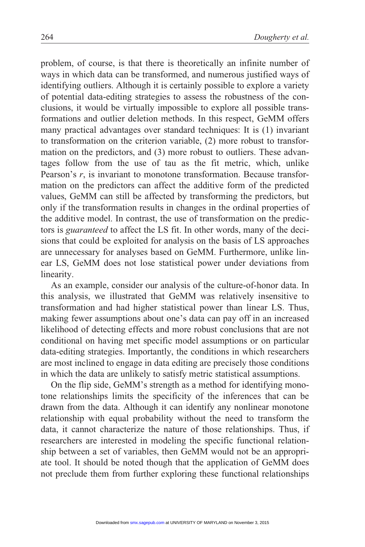problem, of course, is that there is theoretically an infinite number of ways in which data can be transformed, and numerous justified ways of identifying outliers. Although it is certainly possible to explore a variety of potential data-editing strategies to assess the robustness of the conclusions, it would be virtually impossible to explore all possible transformations and outlier deletion methods. In this respect, GeMM offers many practical advantages over standard techniques: It is (1) invariant to transformation on the criterion variable, (2) more robust to transformation on the predictors, and (3) more robust to outliers. These advantages follow from the use of tau as the fit metric, which, unlike Pearson's r, is invariant to monotone transformation. Because transformation on the predictors can affect the additive form of the predicted values, GeMM can still be affected by transforming the predictors, but only if the transformation results in changes in the ordinal properties of the additive model. In contrast, the use of transformation on the predictors is guaranteed to affect the LS fit. In other words, many of the decisions that could be exploited for analysis on the basis of LS approaches are unnecessary for analyses based on GeMM. Furthermore, unlike linear LS, GeMM does not lose statistical power under deviations from linearity.

As an example, consider our analysis of the culture-of-honor data. In this analysis, we illustrated that GeMM was relatively insensitive to transformation and had higher statistical power than linear LS. Thus, making fewer assumptions about one's data can pay off in an increased likelihood of detecting effects and more robust conclusions that are not conditional on having met specific model assumptions or on particular data-editing strategies. Importantly, the conditions in which researchers are most inclined to engage in data editing are precisely those conditions in which the data are unlikely to satisfy metric statistical assumptions.

On the flip side, GeMM's strength as a method for identifying monotone relationships limits the specificity of the inferences that can be drawn from the data. Although it can identify any nonlinear monotone relationship with equal probability without the need to transform the data, it cannot characterize the nature of those relationships. Thus, if researchers are interested in modeling the specific functional relationship between a set of variables, then GeMM would not be an appropriate tool. It should be noted though that the application of GeMM does not preclude them from further exploring these functional relationships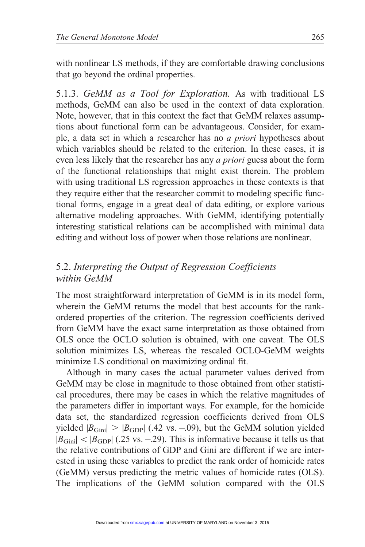with nonlinear LS methods, if they are comfortable drawing conclusions that go beyond the ordinal properties.

5.1.3. GeMM as a Tool for Exploration. As with traditional LS methods, GeMM can also be used in the context of data exploration. Note, however, that in this context the fact that GeMM relaxes assumptions about functional form can be advantageous. Consider, for example, a data set in which a researcher has no a priori hypotheses about which variables should be related to the criterion. In these cases, it is even less likely that the researcher has any a priori guess about the form of the functional relationships that might exist therein. The problem with using traditional LS regression approaches in these contexts is that they require either that the researcher commit to modeling specific functional forms, engage in a great deal of data editing, or explore various alternative modeling approaches. With GeMM, identifying potentially interesting statistical relations can be accomplished with minimal data editing and without loss of power when those relations are nonlinear.

## 5.2. Interpreting the Output of Regression Coefficients within GeMM

The most straightforward interpretation of GeMM is in its model form, wherein the GeMM returns the model that best accounts for the rankordered properties of the criterion. The regression coefficients derived from GeMM have the exact same interpretation as those obtained from OLS once the OCLO solution is obtained, with one caveat. The OLS solution minimizes LS, whereas the rescaled OCLO-GeMM weights minimize LS conditional on maximizing ordinal fit.

Although in many cases the actual parameter values derived from GeMM may be close in magnitude to those obtained from other statistical procedures, there may be cases in which the relative magnitudes of the parameters differ in important ways. For example, for the homicide data set, the standardized regression coefficients derived from OLS yielded  $|B_{\text{Gini}}| > |B_{\text{GDP}}|$  (.42 vs. -..09), but the GeMM solution yielded  $|B_{\text{Gini}}| < |B_{\text{GDP}}|$  (.25 vs. –.29). This is informative because it tells us that the relative contributions of GDP and Gini are different if we are interested in using these variables to predict the rank order of homicide rates (GeMM) versus predicting the metric values of homicide rates (OLS). The implications of the GeMM solution compared with the OLS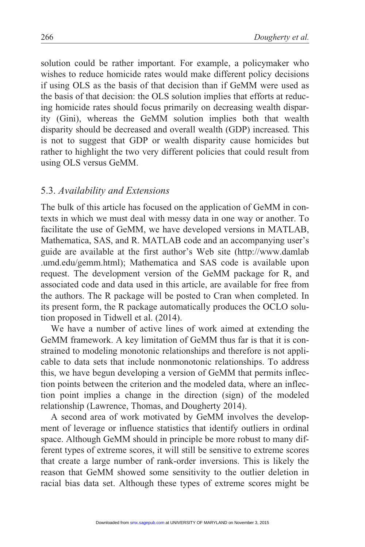solution could be rather important. For example, a policymaker who wishes to reduce homicide rates would make different policy decisions if using OLS as the basis of that decision than if GeMM were used as the basis of that decision: the OLS solution implies that efforts at reducing homicide rates should focus primarily on decreasing wealth disparity (Gini), whereas the GeMM solution implies both that wealth disparity should be decreased and overall wealth (GDP) increased. This is not to suggest that GDP or wealth disparity cause homicides but rather to highlight the two very different policies that could result from using OLS versus GeMM.

### 5.3. Availability and Extensions

The bulk of this article has focused on the application of GeMM in contexts in which we must deal with messy data in one way or another. To facilitate the use of GeMM, we have developed versions in MATLAB, Mathematica, SAS, and R. MATLAB code and an accompanying user's guide are available at the first author's Web site (http://www.damlab .umd.edu/gemm.html); Mathematica and SAS code is available upon request. The development version of the GeMM package for R, and associated code and data used in this article, are available for free from the authors. The R package will be posted to Cran when completed. In its present form, the R package automatically produces the OCLO solution proposed in Tidwell et al. (2014).

We have a number of active lines of work aimed at extending the GeMM framework. A key limitation of GeMM thus far is that it is constrained to modeling monotonic relationships and therefore is not applicable to data sets that include nonmonotonic relationships. To address this, we have begun developing a version of GeMM that permits inflection points between the criterion and the modeled data, where an inflection point implies a change in the direction (sign) of the modeled relationship (Lawrence, Thomas, and Dougherty 2014).

A second area of work motivated by GeMM involves the development of leverage or influence statistics that identify outliers in ordinal space. Although GeMM should in principle be more robust to many different types of extreme scores, it will still be sensitive to extreme scores that create a large number of rank-order inversions. This is likely the reason that GeMM showed some sensitivity to the outlier deletion in racial bias data set. Although these types of extreme scores might be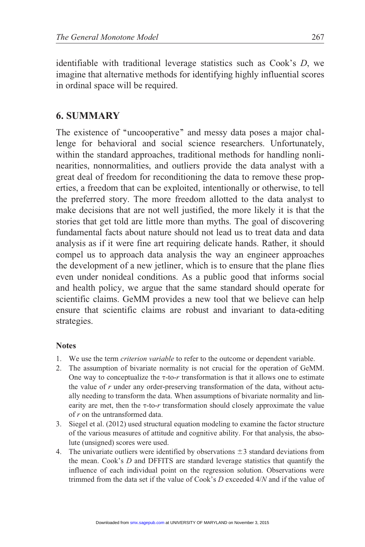identifiable with traditional leverage statistics such as Cook's D, we imagine that alternative methods for identifying highly influential scores in ordinal space will be required.

### 6. SUMMARY

The existence of "uncooperative" and messy data poses a major challenge for behavioral and social science researchers. Unfortunately, within the standard approaches, traditional methods for handling nonlinearities, nonnormalities, and outliers provide the data analyst with a great deal of freedom for reconditioning the data to remove these properties, a freedom that can be exploited, intentionally or otherwise, to tell the preferred story. The more freedom allotted to the data analyst to make decisions that are not well justified, the more likely it is that the stories that get told are little more than myths. The goal of discovering fundamental facts about nature should not lead us to treat data and data analysis as if it were fine art requiring delicate hands. Rather, it should compel us to approach data analysis the way an engineer approaches the development of a new jetliner, which is to ensure that the plane flies even under nonideal conditions. As a public good that informs social and health policy, we argue that the same standard should operate for scientific claims. GeMM provides a new tool that we believe can help ensure that scientific claims are robust and invariant to data-editing strategies.

#### **Notes**

- 1. We use the term criterion variable to refer to the outcome or dependent variable.
- 2. The assumption of bivariate normality is not crucial for the operation of GeMM. One way to conceptualize the  $\tau$ -to-r transformation is that it allows one to estimate the value of r under any order-preserving transformation of the data, without actually needing to transform the data. When assumptions of bivariate normality and linearity are met, then the  $\tau$ -to-r transformation should closely approximate the value of r on the untransformed data.
- 3. Siegel et al. (2012) used structural equation modeling to examine the factor structure of the various measures of attitude and cognitive ability. For that analysis, the absolute (unsigned) scores were used.
- 4. The univariate outliers were identified by observations  $\pm 3$  standard deviations from the mean. Cook's D and DFFITS are standard leverage statistics that quantify the influence of each individual point on the regression solution. Observations were trimmed from the data set if the value of Cook's D exceeded 4/N and if the value of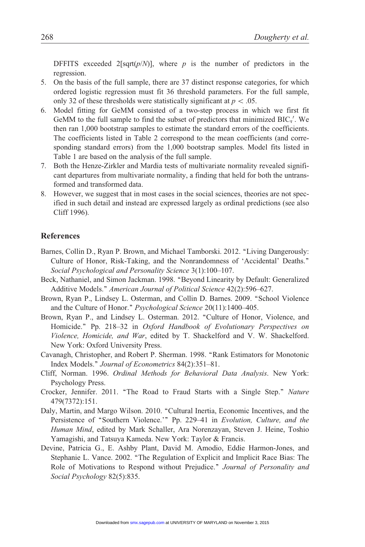DFFITS exceeded 2[sqrt( $p/N$ )], where p is the number of predictors in the regression.

- 5. On the basis of the full sample, there are 37 distinct response categories, for which ordered logistic regression must fit 36 threshold parameters. For the full sample, only 32 of these thresholds were statistically significant at  $p < .05$ .
- 6. Model fitting for GeMM consisted of a two-step process in which we first fit GeMM to the full sample to find the subset of predictors that minimized  $BIC_{\tau}$ . We then ran 1,000 bootstrap samples to estimate the standard errors of the coefficients. The coefficients listed in Table 2 correspond to the mean coefficients (and corresponding standard errors) from the 1,000 bootstrap samples. Model fits listed in Table 1 are based on the analysis of the full sample.
- 7. Both the Henze-Zirkler and Mardia tests of multivariate normality revealed significant departures from multivariate normality, a finding that held for both the untransformed and transformed data.
- 8. However, we suggest that in most cases in the social sciences, theories are not specified in such detail and instead are expressed largely as ordinal predictions (see also Cliff 1996).

#### References

- Barnes, Collin D., Ryan P. Brown, and Michael Tamborski. 2012. "Living Dangerously: Culture of Honor, Risk-Taking, and the Nonrandomness of 'Accidental' Deaths.'' Social Psychological and Personality Science 3(1):100–107.
- Beck, Nathaniel, and Simon Jackman. 1998. ''Beyond Linearity by Default: Generalized Additive Models." American Journal of Political Science 42(2):596-627.
- Brown, Ryan P., Lindsey L. Osterman, and Collin D. Barnes. 2009. ''School Violence and the Culture of Honor.'' Psychological Science 20(11):1400–405.
- Brown, Ryan P., and Lindsey L. Osterman. 2012. "Culture of Honor, Violence, and Homicide." Pp. 218–32 in Oxford Handbook of Evolutionary Perspectives on Violence, Homicide, and War, edited by T. Shackelford and V. W. Shackelford. New York: Oxford University Press.
- Cavanagh, Christopher, and Robert P. Sherman. 1998. ''Rank Estimators for Monotonic Index Models.'' Journal of Econometrics 84(2):351–81.
- Cliff, Norman. 1996. Ordinal Methods for Behavioral Data Analysis. New York: Psychology Press.
- Crocker, Jennifer. 2011. ''The Road to Fraud Starts with a Single Step.'' Nature 479(7372):151.
- Daly, Martin, and Margo Wilson. 2010. "Cultural Inertia, Economic Incentives, and the Persistence of "Southern Violence.'" Pp. 229-41 in Evolution, Culture, and the Human Mind, edited by Mark Schaller, Ara Norenzayan, Steven J. Heine, Toshio Yamagishi, and Tatsuya Kameda. New York: Taylor & Francis.
- Devine, Patricia G., E. Ashby Plant, David M. Amodio, Eddie Harmon-Jones, and Stephanie L. Vance. 2002. ''The Regulation of Explicit and Implicit Race Bias: The Role of Motivations to Respond without Prejudice." Journal of Personality and Social Psychology 82(5):835.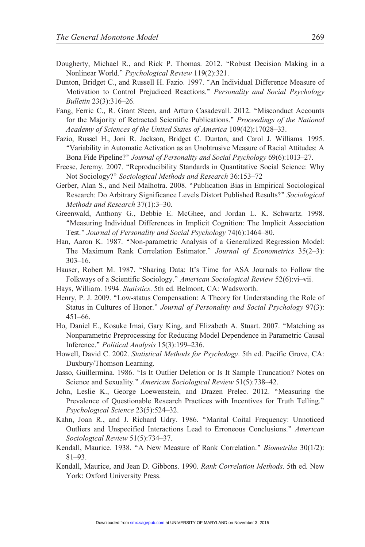- Dougherty, Michael R., and Rick P. Thomas. 2012. "Robust Decision Making in a Nonlinear World.'' Psychological Review 119(2):321.
- Dunton, Bridget C., and Russell H. Fazio. 1997. ''An Individual Difference Measure of Motivation to Control Prejudiced Reactions." Personality and Social Psychology Bulletin 23(3):316–26.
- Fang, Ferric C., R. Grant Steen, and Arturo Casadevall. 2012. ''Misconduct Accounts for the Majority of Retracted Scientific Publications." Proceedings of the National Academy of Sciences of the United States of America 109(42):17028–33.
- Fazio, Russel H., Joni R. Jackson, Bridget C. Dunton, and Carol J. Williams. 1995. ''Variability in Automatic Activation as an Unobtrusive Measure of Racial Attitudes: A Bona Fide Pipeline?'' Journal of Personality and Social Psychology 69(6):1013–27.
- Freese, Jeremy. 2007. "Reproducibility Standards in Quantitative Social Science: Why Not Sociology?'' Sociological Methods and Research 36:153–72
- Gerber, Alan S., and Neil Malhotra. 2008. ''Publication Bias in Empirical Sociological Research: Do Arbitrary Significance Levels Distort Published Results?'' Sociological Methods and Research 37(1):3–30.
- Greenwald, Anthony G., Debbie E. McGhee, and Jordan L. K. Schwartz. 1998. ''Measuring Individual Differences in Implicit Cognition: The Implicit Association Test.'' Journal of Personality and Social Psychology 74(6):1464–80.
- Han, Aaron K. 1987. ''Non-parametric Analysis of a Generalized Regression Model: The Maximum Rank Correlation Estimator." Journal of Econometrics 35(2-3): 303–16.
- Hauser, Robert M. 1987. "Sharing Data: It's Time for ASA Journals to Follow the Folkways of a Scientific Sociology.'' American Sociological Review 52(6):vi–vii.
- Hays, William. 1994. Statistics. 5th ed. Belmont, CA: Wadsworth.
- Henry, P. J. 2009. ''Low-status Compensation: A Theory for Understanding the Role of Status in Cultures of Honor." Journal of Personality and Social Psychology 97(3): 451–66.
- Ho, Daniel E., Kosuke Imai, Gary King, and Elizabeth A. Stuart. 2007. ''Matching as Nonparametric Preprocessing for Reducing Model Dependence in Parametric Causal Inference.'' Political Analysis 15(3):199–236.
- Howell, David C. 2002. Statistical Methods for Psychology. 5th ed. Pacific Grove, CA: Duxbury/Thomson Learning.
- Jasso, Guillermina. 1986. ''Is It Outlier Deletion or Is It Sample Truncation? Notes on Science and Sexuality.'' American Sociological Review 51(5):738–42.
- John, Leslie K., George Loewenstein, and Drazen Prelec. 2012. ''Measuring the Prevalence of Questionable Research Practices with Incentives for Truth Telling.'' Psychological Science 23(5):524–32.
- Kahn, Joan R., and J. Richard Udry. 1986. ''Marital Coital Frequency: Unnoticed Outliers and Unspecified Interactions Lead to Erroneous Conclusions.'' American Sociological Review 51(5):734–37.
- Kendall, Maurice. 1938. "A New Measure of Rank Correlation." *Biometrika* 30(1/2): 81–93.
- Kendall, Maurice, and Jean D. Gibbons. 1990. Rank Correlation Methods. 5th ed. New York: Oxford University Press.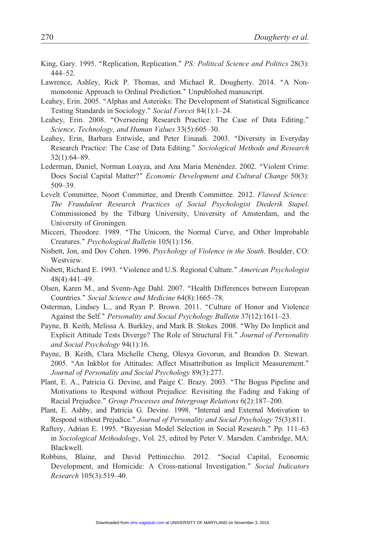- King, Gary. 1995. "Replication, Replication." PS: Political Science and Politics 28(3): 444–52.
- Lawrence, Ashley, Rick P. Thomas, and Michael R. Dougherty. 2014. "A Nonmonotonic Approach to Ordinal Prediction.'' Unpublished manuscript.
- Leahey, Erin. 2005. ''Alphas and Asterisks: The Development of Statistical Significance Testing Standards in Sociology.'' Social Forces 84(1):1–24.
- Leahey, Erin. 2008. "Overseeing Research Practice: The Case of Data Editing." Science, Technology, and Human Values 33(5):605–30.
- Leahey, Erin, Barbara Entwisle, and Peter Einaudi. 2003. "Diversity in Everyday Research Practice: The Case of Data Editing.'' Sociological Methods and Research 32(1):64–89.
- Lederman, Daniel, Norman Loayza, and Ana Maria Menéndez. 2002. "Violent Crime: Does Social Capital Matter?" Economic Development and Cultural Change 50(3): 509–39.
- Levelt Committee, Noort Committee, and Drenth Committee. 2012. Flawed Science: The Fraudulent Research Practices of Social Psychologist Diederik Stapel. Commissioned by the Tilburg University, University of Amsterdam, and the University of Groningen.
- Micceri, Theodore. 1989. ''The Unicorn, the Normal Curve, and Other Improbable Creatures.'' Psychological Bulletin 105(1):156.
- Nisbett, Jon, and Dov Cohen. 1996. Psychology of Violence in the South. Boulder, CO: Westview.
- Nisbett, Richard E. 1993. "Violence and U.S. Regional Culture." American Psychologist 48(4):441–49.
- Olsen, Karen M., and Svenn-Age Dahl. 2007. ''Health Differences between European Countries.'' Social Science and Medicine 64(8):1665–78.
- Osterman, Lindsey L., and Ryan P. Brown. 2011. "Culture of Honor and Violence Against the Self.'' Personality and Social Psychology Bulletin 37(12):1611–23.
- Payne, B. Keith, Melissa A. Burkley, and Mark B. Stokes. 2008. ''Why Do Implicit and Explicit Attitude Tests Diverge? The Role of Structural Fit." Journal of Personality and Social Psychology 94(1):16.
- Payne, B. Keith, Clara Michelle Cheng, Olesya Govorun, and Brandon D. Stewart. 2005. "An Inkblot for Attitudes: Affect Misattribution as Implicit Measurement." Journal of Personality and Social Psychology 89(3):277.
- Plant, E. A., Patricia G. Devine, and Paige C. Brazy. 2003. "The Bogus Pipeline and Motivations to Respond without Prejudice: Revisiting the Fading and Faking of Racial Prejudice." Group Processes and Intergroup Relations 6(2):187-200.
- Plant, E. Ashby, and Patricia G. Devine. 1998. "Internal and External Motivation to Respond without Prejudice.'' Journal of Personality and Social Psychology 75(3):811.
- Raftery, Adrian E. 1995. "Bayesian Model Selection in Social Research." Pp. 111-63 in Sociological Methodology, Vol. 25, edited by Peter V. Marsden. Cambridge, MA: Blackwell.
- Robbins, Blaine, and David Pettinicchio. 2012. ''Social Capital, Economic Development, and Homicide: A Cross-national Investigation." Social Indicators Research 105(3):519–40.